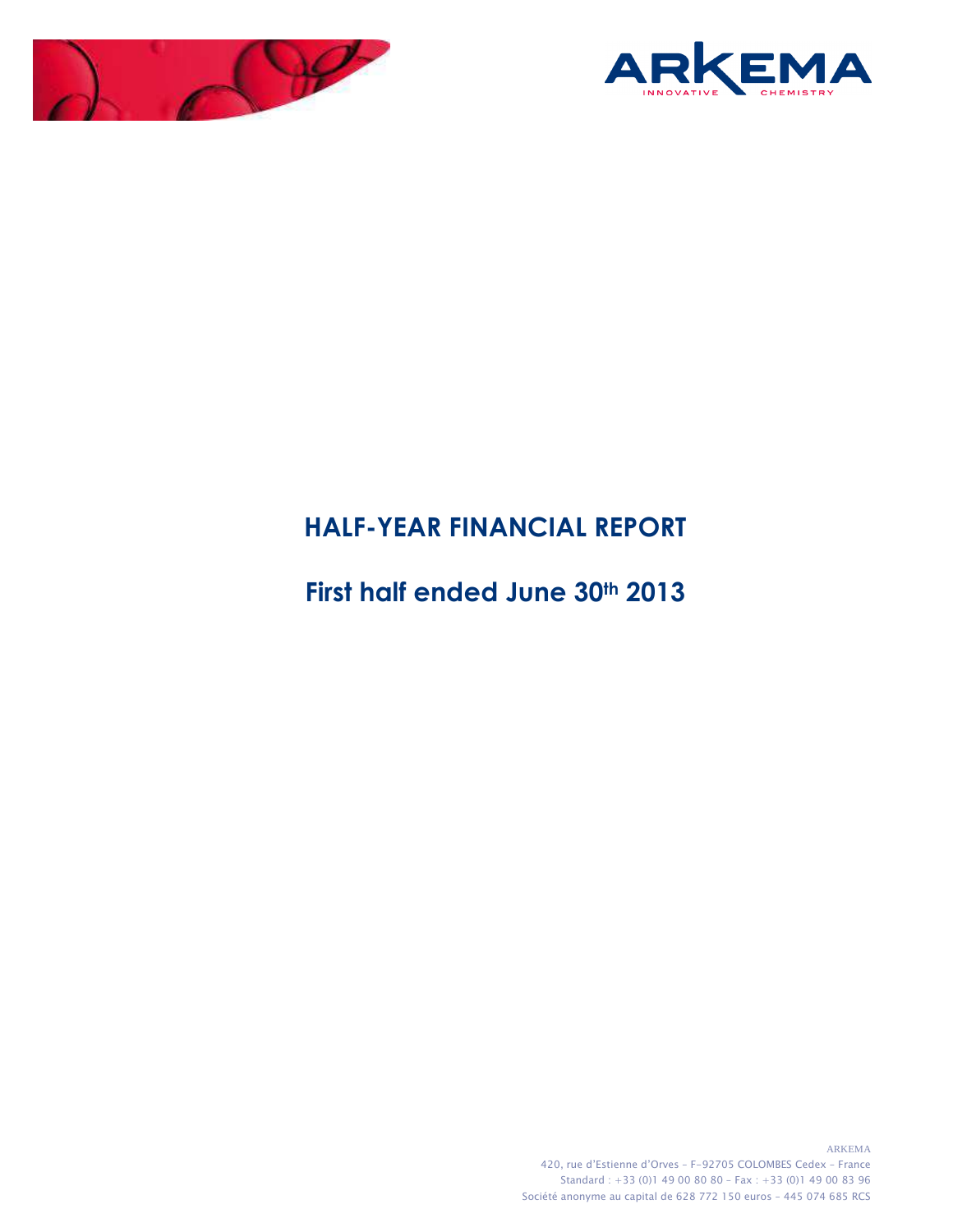



# **HALF-YEAR FINANCIAL REPORT**

# **First half ended June 30th 2013**

ARKEMA 420, rue d'Estienne d'Orves – F-92705 COLOMBES Cedex – France Standard : +33 (0)1 49 00 80 80 – Fax : +33 (0)1 49 00 83 96 Société anonyme au capital de 628 772 150 euros – 445 074 685 RCS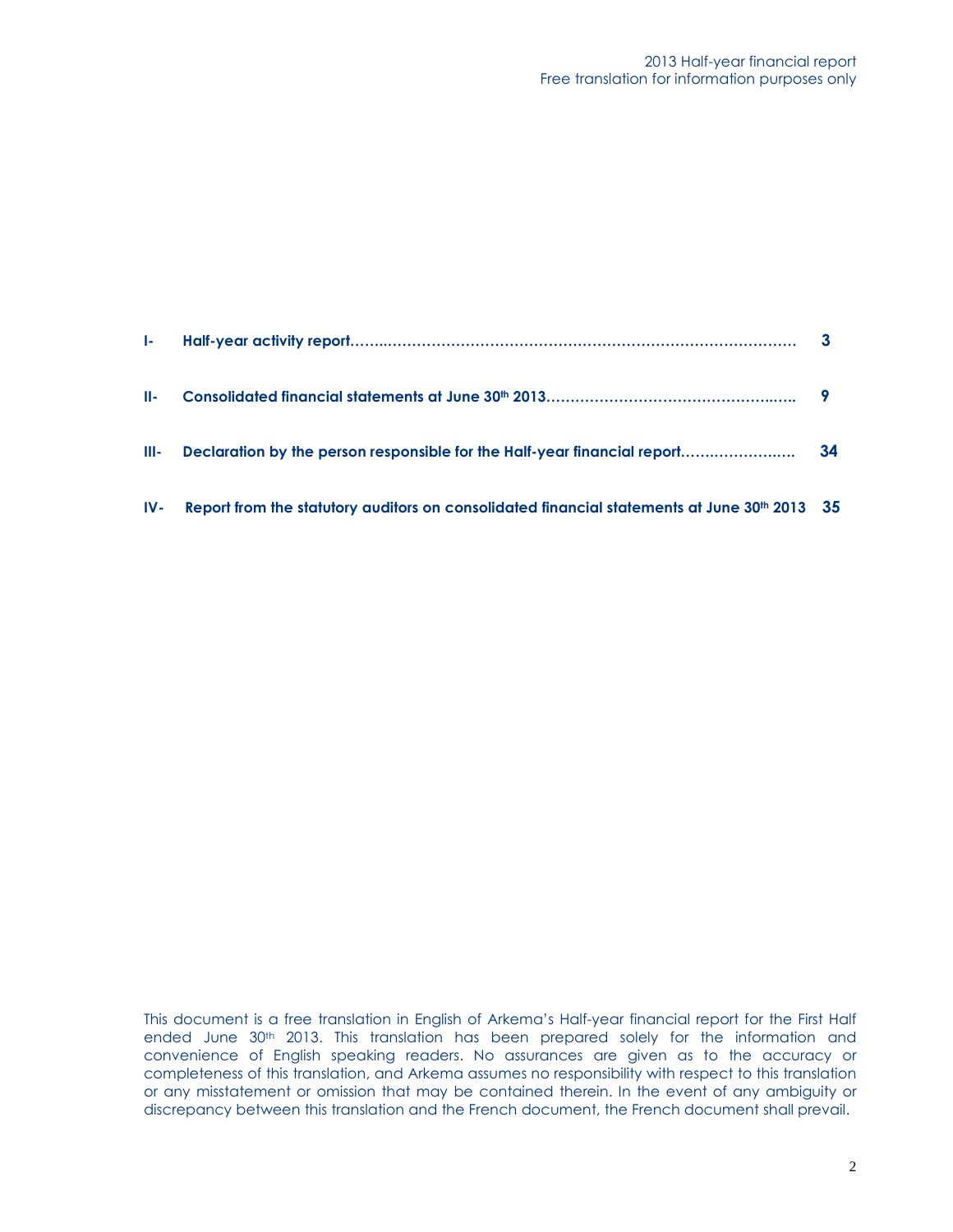| de la |                                                                                              |    |
|-------|----------------------------------------------------------------------------------------------|----|
| H-    |                                                                                              |    |
| HI-   | Declaration by the person responsible for the Half-year financial report                     | 34 |
| $IV-$ | Report from the statutory auditors on consolidated financial statements at June 30th 2013 35 |    |

This document is a free translation in English of Arkema's Half-year financial report for the First Half ended June 30<sup>th</sup> 2013. This translation has been prepared solely for the information and convenience of English speaking readers. No assurances are given as to the accuracy or completeness of this translation, and Arkema assumes no responsibility with respect to this translation or any misstatement or omission that may be contained therein. In the event of any ambiguity or discrepancy between this translation and the French document, the French document shall prevail.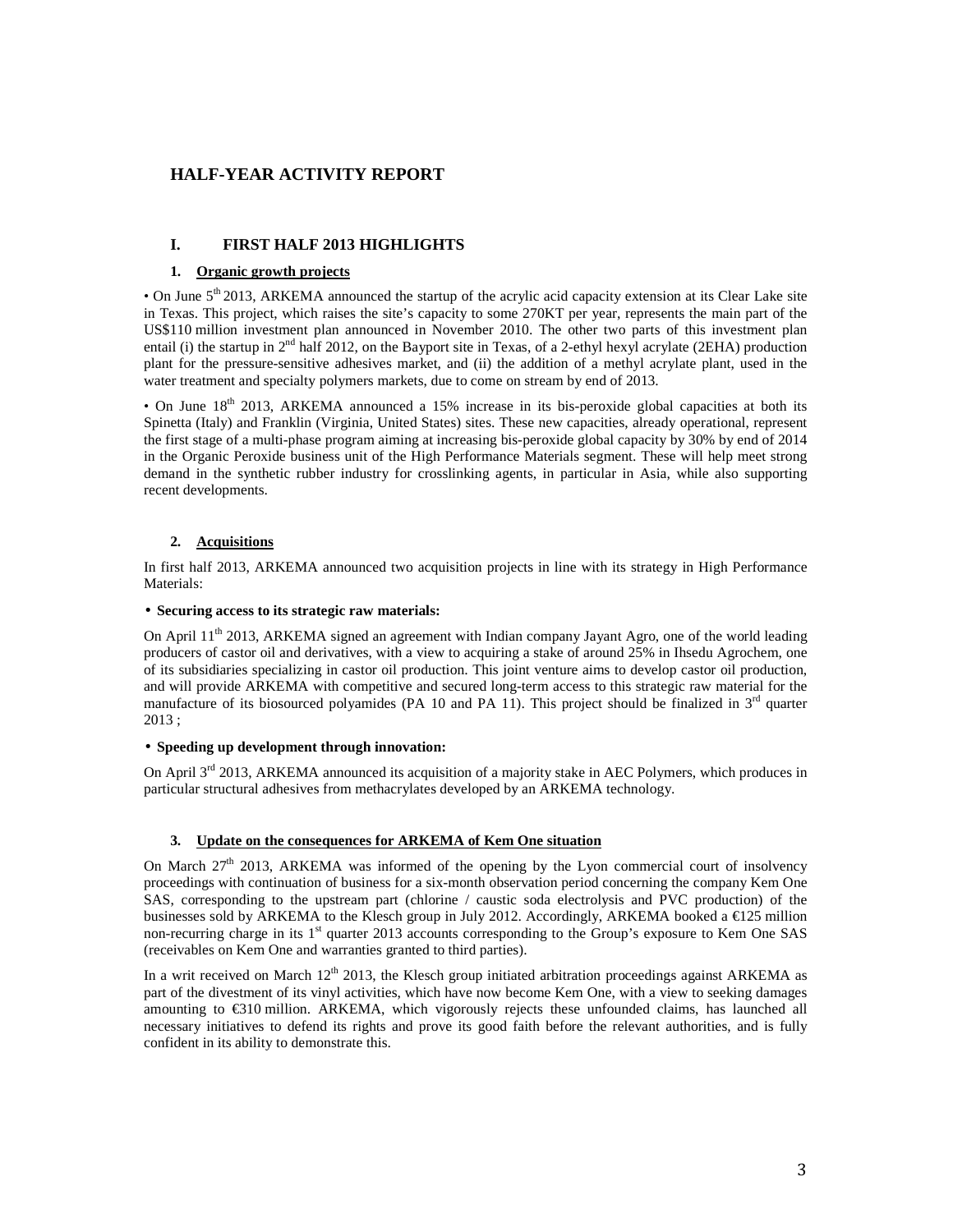# **HALF-YEAR ACTIVITY REPORT**

# **I. FIRST HALF 2013 HIGHLIGHTS**

### **1. Organic growth projects**

• On June 5<sup>th</sup> 2013, ARKEMA announced the startup of the acrylic acid capacity extension at its Clear Lake site in Texas. This project, which raises the site's capacity to some 270KT per year, represents the main part of the US\$110 million investment plan announced in November 2010. The other two parts of this investment plan entail (i) the startup in 2<sup>nd</sup> half 2012, on the Bayport site in Texas, of a 2-ethyl hexyl acrylate (2EHA) production plant for the pressure-sensitive adhesives market, and (ii) the addition of a methyl acrylate plant, used in the water treatment and specialty polymers markets, due to come on stream by end of 2013.

• On June  $18<sup>th</sup>$  2013, ARKEMA announced a 15% increase in its bis-peroxide global capacities at both its Spinetta (Italy) and Franklin (Virginia, United States) sites. These new capacities, already operational, represent the first stage of a multi-phase program aiming at increasing bis-peroxide global capacity by 30% by end of 2014 in the Organic Peroxide business unit of the High Performance Materials segment. These will help meet strong demand in the synthetic rubber industry for crosslinking agents, in particular in Asia, while also supporting recent developments.

# **2. Acquisitions**

In first half 2013, ARKEMA announced two acquisition projects in line with its strategy in High Performance Materials:

### • **Securing access to its strategic raw materials:**

On April  $11<sup>th</sup> 2013$ , ARKEMA signed an agreement with Indian company Jayant Agro, one of the world leading producers of castor oil and derivatives, with a view to acquiring a stake of around 25% in Ihsedu Agrochem, one of its subsidiaries specializing in castor oil production. This joint venture aims to develop castor oil production, and will provide ARKEMA with competitive and secured long-term access to this strategic raw material for the manufacture of its biosourced polyamides (PA 10 and PA 11). This project should be finalized in  $3<sup>rd</sup>$  quarter 2013 ;

### • **Speeding up development through innovation:**

On April 3<sup>rd</sup> 2013, ARKEMA announced its acquisition of a majority stake in AEC Polymers, which produces in particular structural adhesives from methacrylates developed by an ARKEMA technology.

### **3. Update on the consequences for ARKEMA of Kem One situation**

On March  $27<sup>th</sup>$  2013, ARKEMA was informed of the opening by the Lyon commercial court of insolvency proceedings with continuation of business for a six-month observation period concerning the company Kem One SAS, corresponding to the upstream part (chlorine / caustic soda electrolysis and PVC production) of the businesses sold by ARKEMA to the Klesch group in July 2012. Accordingly, ARKEMA booked a €125 million non-recurring charge in its 1<sup>st</sup> quarter 2013 accounts corresponding to the Group's exposure to Kem One SAS (receivables on Kem One and warranties granted to third parties).

In a writ received on March  $12<sup>th</sup>$  2013, the Klesch group initiated arbitration proceedings against ARKEMA as part of the divestment of its vinyl activities, which have now become Kem One, with a view to seeking damages amounting to €310 million. ARKEMA, which vigorously rejects these unfounded claims, has launched all necessary initiatives to defend its rights and prove its good faith before the relevant authorities, and is fully confident in its ability to demonstrate this.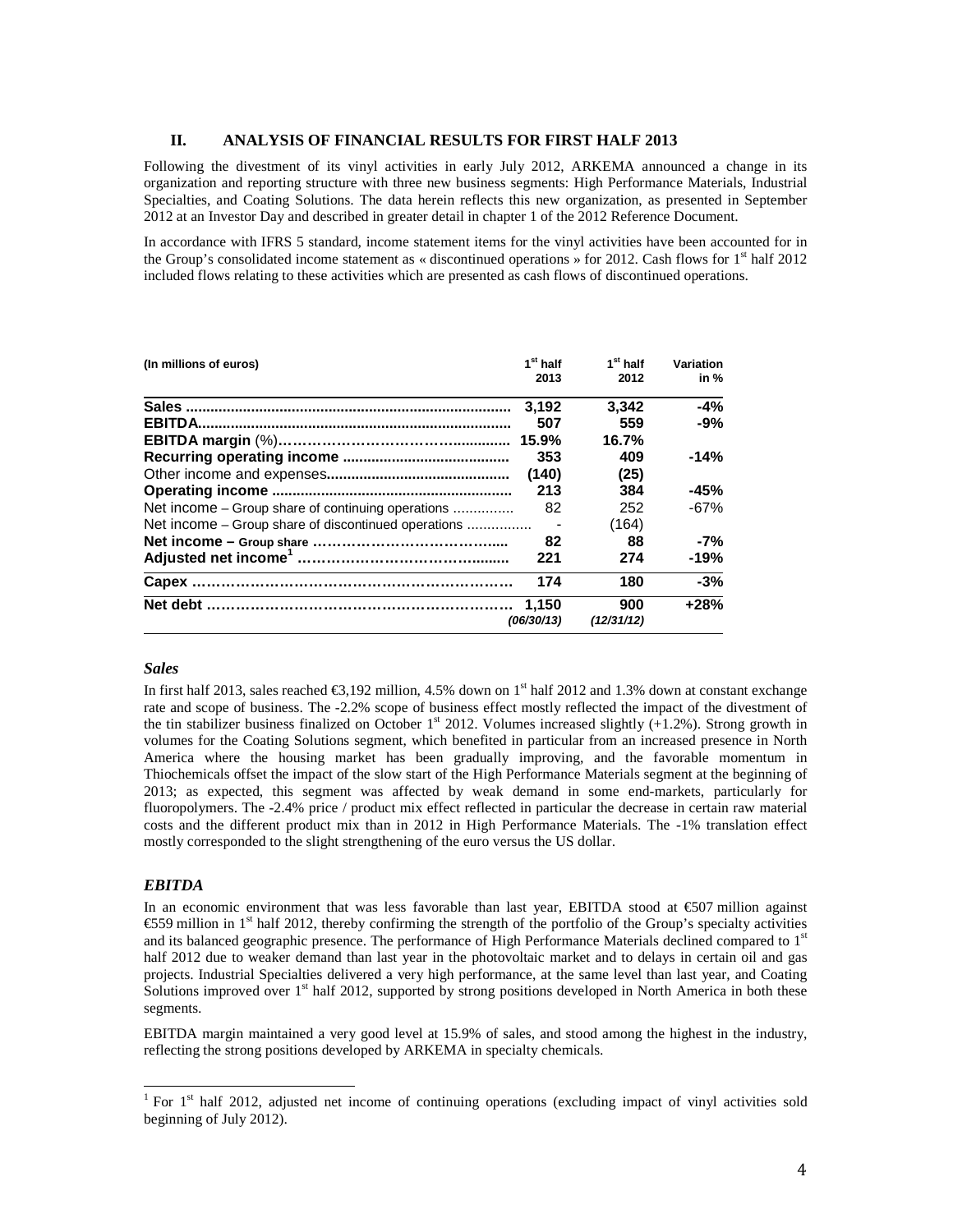### **II. ANALYSIS OF FINANCIAL RESULTS FOR FIRST HALF 2013**

Following the divestment of its vinyl activities in early July 2012, ARKEMA announced a change in its organization and reporting structure with three new business segments: High Performance Materials, Industrial Specialties, and Coating Solutions. The data herein reflects this new organization, as presented in September 2012 at an Investor Day and described in greater detail in chapter 1 of the 2012 Reference Document.

In accordance with IFRS 5 standard, income statement items for the vinyl activities have been accounted for in the Group's consolidated income statement as « discontinued operations » for 2012. Cash flows for  $1<sup>st</sup>$  half 2012 included flows relating to these activities which are presented as cash flows of discontinued operations.

| (In millions of euros)                              | 1 <sup>st</sup> half | $1st$ half | Variation |
|-----------------------------------------------------|----------------------|------------|-----------|
|                                                     | 2013                 | 2012       | in %      |
|                                                     | 3,192                | 3.342      | $-4%$     |
| EBITDA                                              | 507                  | 559        | $-9%$     |
|                                                     | 15.9%                | 16.7%      |           |
|                                                     | 353                  | 409        | $-14%$    |
|                                                     | (140)                | (25)       |           |
|                                                     | 213                  | 384        | $-45%$    |
| Net income – Group share of continuing operations   | 82                   | 252        | $-67%$    |
| Net income – Group share of discontinued operations |                      | (164)      |           |
|                                                     | 82                   | 88         | $-7%$     |
|                                                     | 221                  | 274        | $-19%$    |
|                                                     | 174                  | 180        | $-3%$     |
|                                                     | 1.150                | 900        | $+28%$    |
|                                                     | (06/30/13)           | (12/31/12) |           |

## *Sales*

In first half 2013, sales reached  $\epsilon$ 3,192 million, 45% down on 1<sup>st</sup> half 2012 and 1.3% down at constant exchange rate and scope of business. The -2.2% scope of business effect mostly reflected the impact of the divestment of the tin stabilizer business finalized on October  $1<sup>st</sup>$  2012. Volumes increased slightly (+1.2%). Strong growth in volumes for the Coating Solutions segment, which benefited in particular from an increased presence in North America where the housing market has been gradually improving, and the favorable momentum in Thiochemicals offset the impact of the slow start of the High Performance Materials segment at the beginning of 2013; as expected, this segment was affected by weak demand in some end-markets, particularly for fluoropolymers. The -2.4% price / product mix effect reflected in particular the decrease in certain raw material costs and the different product mix than in 2012 in High Performance Materials. The -1% translation effect mostly corresponded to the slight strengthening of the euro versus the US dollar.

### *EBITDA*

 $\overline{a}$ 

In an economic environment that was less favorable than last year, EBITDA stood at €507 million against €559 million in  $\mathbf{f}^{\mathsf{t}}$  half 2012, thereby confirming the strength of the portfolio of the Group's specialty activities and its balanced geographic presence. The performance of High Performance Materials declined compared to 1<sup>st</sup> half 2012 due to weaker demand than last year in the photovoltaic market and to delays in certain oil and gas projects. Industrial Specialties delivered a very high performance, at the same level than last year, and Coating Solutions improved over  $1<sup>st</sup>$  half 2012, supported by strong positions developed in North America in both these segments.

EBITDA margin maintained a very good level at 15.9% of sales, and stood among the highest in the industry, reflecting the strong positions developed by ARKEMA in specialty chemicals.

<sup>&</sup>lt;sup>1</sup> For 1<sup>st</sup> half 2012, adjusted net income of continuing operations (excluding impact of vinyl activities sold beginning of July 2012).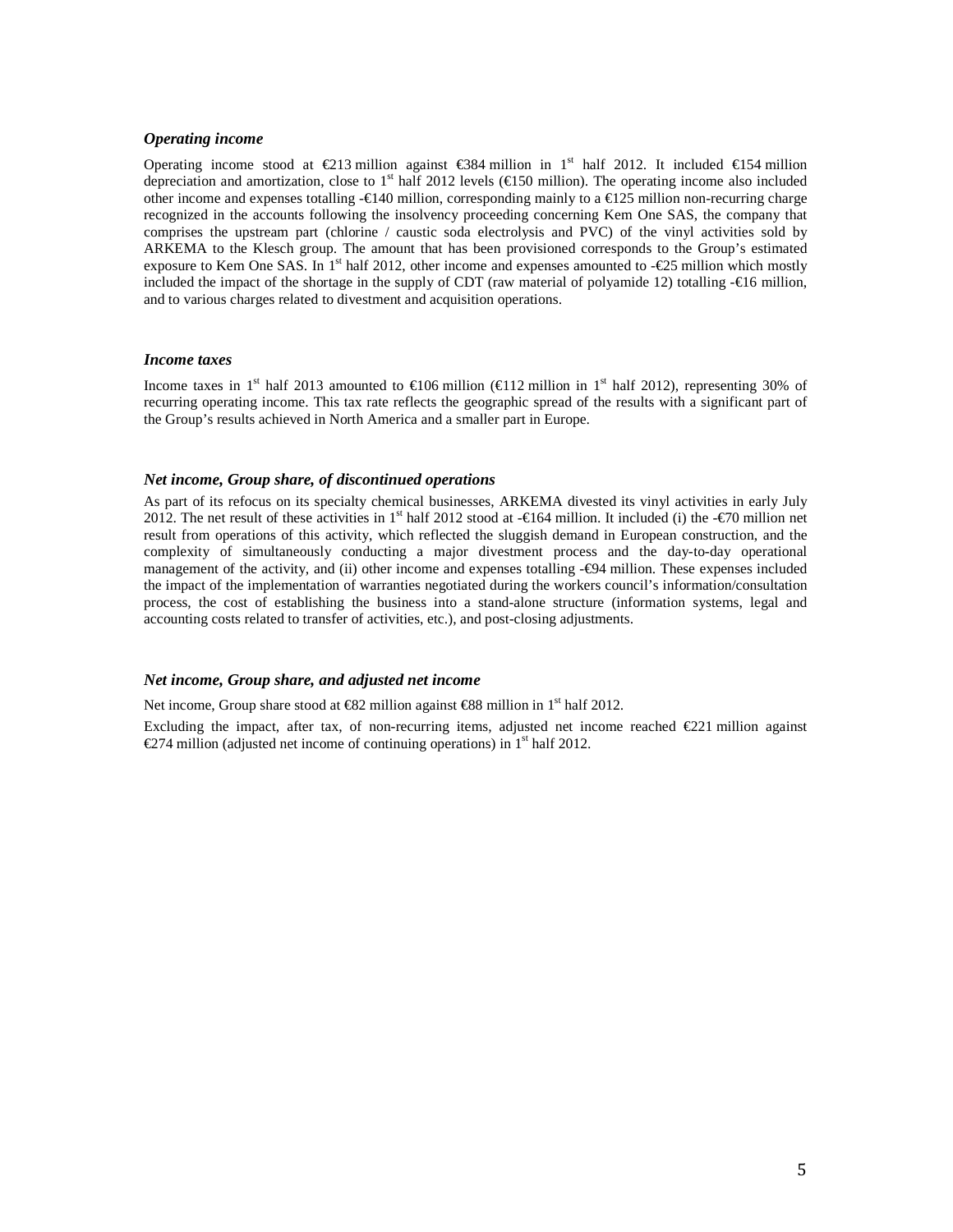#### *Operating income*

Operating income stood at €213 million against €384 million in 1<sup>st</sup> half 2012. It included €154 million depreciation and amortization, close to 1<sup>st</sup> half 2012 levels (€150 million). The operating income also included other income and expenses totalling  $-\epsilon$ 140 million, corresponding mainly to a  $\epsilon$ 125 million non-recurring charge recognized in the accounts following the insolvency proceeding concerning Kem One SAS, the company that comprises the upstream part (chlorine / caustic soda electrolysis and PVC) of the vinyl activities sold by ARKEMA to the Klesch group. The amount that has been provisioned corresponds to the Group's estimated exposure to Kem One SAS. In  $1<sup>st</sup>$  half 2012, other income and expenses amounted to  $-\epsilon$ 25 million which mostly included the impact of the shortage in the supply of CDT (raw material of polyamide 12) totalling -€16 million, and to various charges related to divestment and acquisition operations.

### *Income taxes*

Income taxes in 1<sup>st</sup> half 2013 amounted to  $\epsilon$ 106 million ( $\epsilon$ 112 million in 1<sup>st</sup> half 2012), representing 30% of recurring operating income. This tax rate reflects the geographic spread of the results with a significant part of the Group's results achieved in North America and a smaller part in Europe.

### *Net income, Group share, of discontinued operations*

As part of its refocus on its specialty chemical businesses, ARKEMA divested its vinyl activities in early July 2012. The net result of these activities in 1<sup>st</sup> half 2012 stood at -€164 million. It included (i) the -€70 million net result from operations of this activity, which reflected the sluggish demand in European construction, and the complexity of simultaneously conducting a major divestment process and the day-to-day operational management of the activity, and (ii) other income and expenses totalling -€94 million. These expenses included the impact of the implementation of warranties negotiated during the workers council's information/consultation process, the cost of establishing the business into a stand-alone structure (information systems, legal and accounting costs related to transfer of activities, etc.), and post-closing adjustments.

### *Net income, Group share, and adjusted net income*

Net income, Group share stood at  $\epsilon$ 82 million against  $\epsilon$ 88 million in 1<sup>st</sup> half 2012.

Excluding the impact, after tax, of non-recurring items, adjusted net income reached  $E221$  million against  $\epsilon$ 274 million (adjusted net income of continuing operations) in 1<sup>st</sup> half 2012.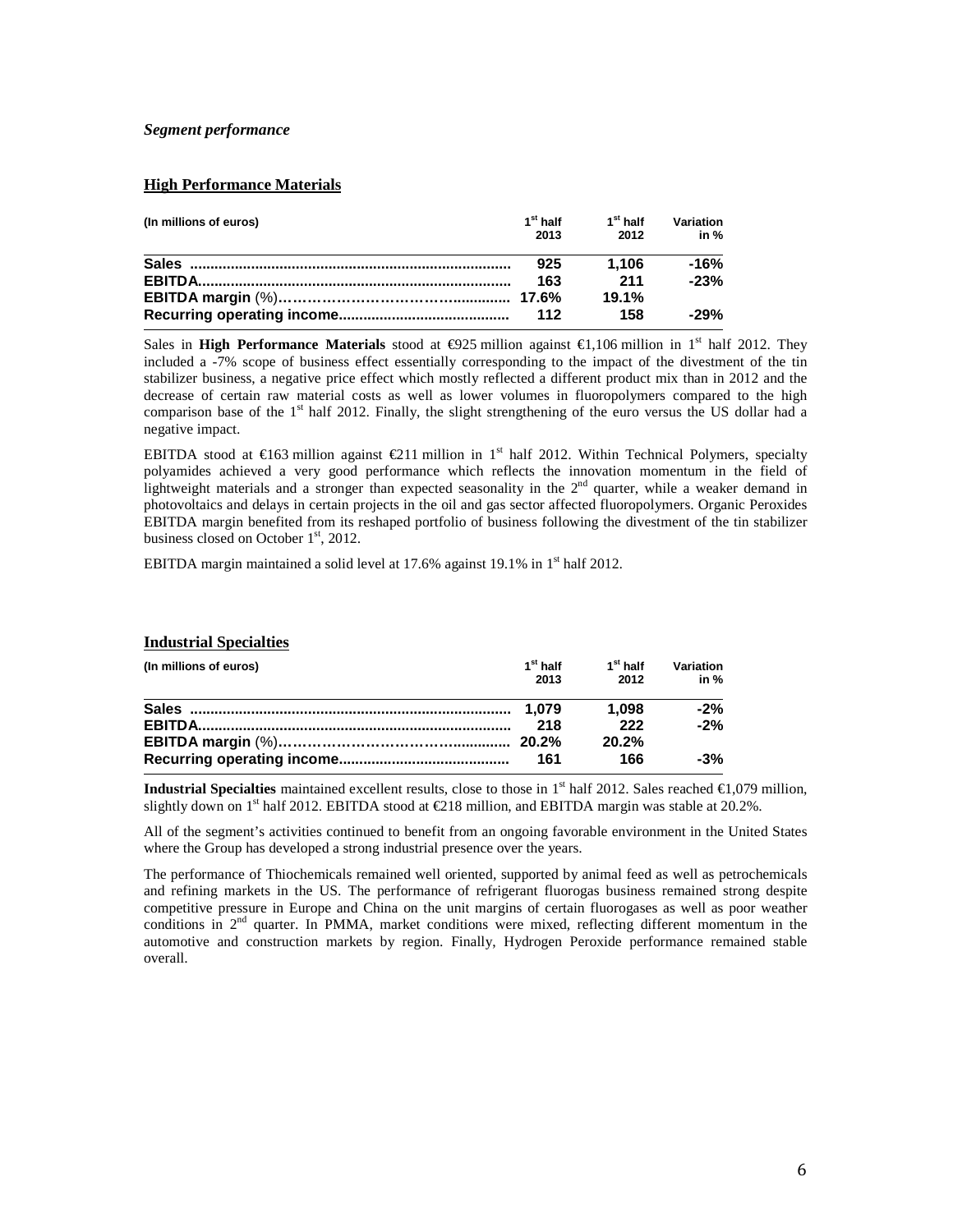### *Segment performance*

### **High Performance Materials**

| (In millions of euros) | $1st$ half<br>2013 | $1st$ half<br>2012 | Variation<br>in $%$ |
|------------------------|--------------------|--------------------|---------------------|
|                        | 925                | 1.106              | $-16%$              |
|                        | 163                | 211                | $-23%$              |
|                        |                    | 19.1%              |                     |
|                        | 112                | 158                | $-29%$              |

Sales in **High Performance Materials** stood at  $\epsilon$ 925 million against  $\epsilon$ 1,106 million in <sup>\*</sup> half 2012. They included a -7% scope of business effect essentially corresponding to the impact of the divestment of the tin stabilizer business, a negative price effect which mostly reflected a different product mix than in 2012 and the decrease of certain raw material costs as well as lower volumes in fluoropolymers compared to the high comparison base of the 1<sup>st</sup> half 2012. Finally, the slight strengthening of the euro versus the US dollar had a negative impact.

EBITDA stood at  $\epsilon$ 163 million against  $\epsilon$ 211 million in 1<sup>st</sup> half 2012. Within Technical Polymers, specialty polyamides achieved a very good performance which reflects the innovation momentum in the field of lightweight materials and a stronger than expected seasonality in the  $2<sup>nd</sup>$  quarter, while a weaker demand in photovoltaics and delays in certain projects in the oil and gas sector affected fluoropolymers. Organic Peroxides EBITDA margin benefited from its reshaped portfolio of business following the divestment of the tin stabilizer business closed on October  $1<sup>st</sup>$ , 2012.

EBITDA margin maintained a solid level at 17.6% against 19.1% in 1<sup>st</sup> half 2012.

### **Industrial Specialties**

| (In millions of euros) | $1st$ half<br>2013 | $1st$ half<br>2012 | Variation<br>in % |
|------------------------|--------------------|--------------------|-------------------|
|                        | 1.079              | 1.098              | $-2%$             |
|                        | 218                | 222                | $-2%$             |
|                        |                    | 20.2%              |                   |
|                        | 161                | 166                | -3%               |

**Industrial Specialties** maintained excellent results, close to those in  $1<sup>st</sup>$  half 2012. Sales reached  $\in$ 1,079 million, slightly down on 1<sup>st</sup> half 2012. EBITDA stood at  $\epsilon$ 218 million, and EBITDA margin was stable at 20.2%.

All of the segment's activities continued to benefit from an ongoing favorable environment in the United States where the Group has developed a strong industrial presence over the years.

The performance of Thiochemicals remained well oriented, supported by animal feed as well as petrochemicals and refining markets in the US. The performance of refrigerant fluorogas business remained strong despite competitive pressure in Europe and China on the unit margins of certain fluorogases as well as poor weather conditions in 2<sup>nd</sup> quarter. In PMMA, market conditions were mixed, reflecting different momentum in the automotive and construction markets by region. Finally, Hydrogen Peroxide performance remained stable overall.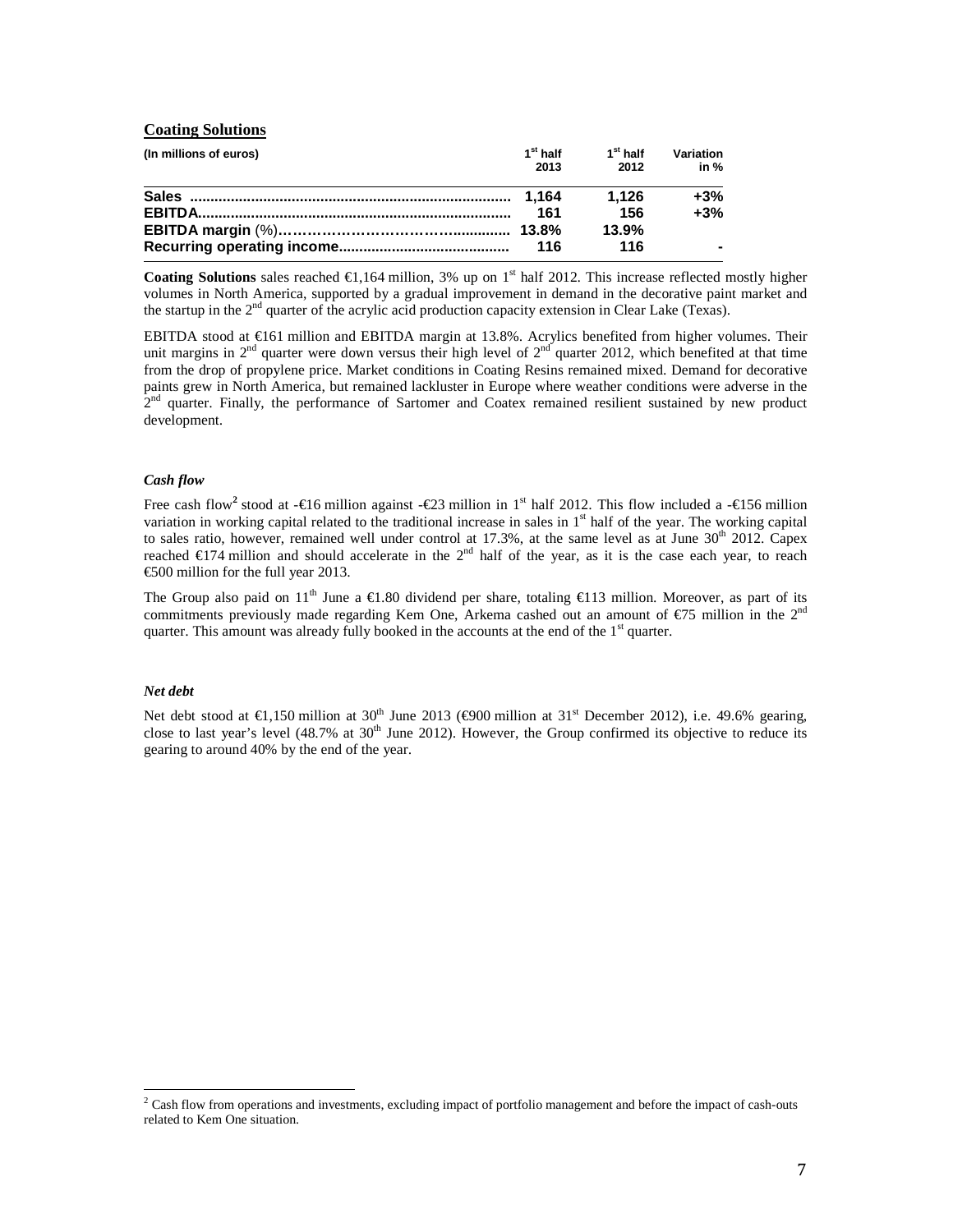### **Coating Solutions**

| (In millions of euros) | $1st$ half<br>2013 | $1st$ half<br>2012 | Variation<br>in $%$ |
|------------------------|--------------------|--------------------|---------------------|
|                        |                    | 1.126              | $+3%$               |
|                        | 161                | 156                | $+3%$               |
|                        |                    | 13.9%              |                     |
|                        | 116                | 116                | -                   |

**Coating Solutions** sales reached  $\epsilon$ 1,164 million, 3% up on  $\mathbf{f}^{\text{t}}$  half 2012. This increase reflected mostly higher volumes in North America, supported by a gradual improvement in demand in the decorative paint market and the startup in the 2nd quarter of the acrylic acid production capacity extension in Clear Lake (Texas).

EBITDA stood at €161 million and EBITDA margin at 13.8%. Acrylics benefited from higher volumes. Their unit margins in  $2<sup>nd</sup>$  quarter were down versus their high level of  $2<sup>nd</sup>$  quarter 2012, which benefited at that time from the drop of propylene price. Market conditions in Coating Resins remained mixed. Demand for decorative paints grew in North America, but remained lackluster in Europe where weather conditions were adverse in the  $2<sup>nd</sup>$  quarter. Finally, the performance of Sartomer and Coatex remained resilient sustained by new product development.

### *Cash flow*

Free cash flow<sup>2</sup> stood at -€16 million against -€23 million in <sup>†</sup> half 2012. This flow included a -€156 million variation in working capital related to the traditional increase in sales in  $1<sup>st</sup>$  half of the year. The working capital to sales ratio, however, remained well under control at 17.3%, at the same level as at June  $30<sup>th</sup>$  2012. Capex reached  $\in$  174 million and should accelerate in the  $2<sup>nd</sup>$  half of the year, as it is the case each year, to reach €500 million for the full year 2013.

The Group also paid on  $11^{th}$  June a €1.80 dividend per share, totaling €113 million. Moreover, as part of its commitments previously made regarding Kem One, Arkema cashed out an amount of  $\epsilon$ 75 million in the  $2^{d}$ quarter. This amount was already fully booked in the accounts at the end of the 1<sup>st</sup> quarter.

#### *Net debt*

 $\overline{a}$ 

Net debt stood at  $\epsilon$ 1,150 million at 30<sup>th</sup> June 2013 ( $\epsilon$ 900 million at 3<sup>t</sup><sup>t</sup> December 2012), i.e. 49.6% gearing, close to last year's level (48.7% at  $30<sup>th</sup>$  June 2012). However, the Group confirmed its objective to reduce its gearing to around 40% by the end of the year.

<sup>&</sup>lt;sup>2</sup> Cash flow from operations and investments, excluding impact of portfolio management and before the impact of cash-outs related to Kem One situation.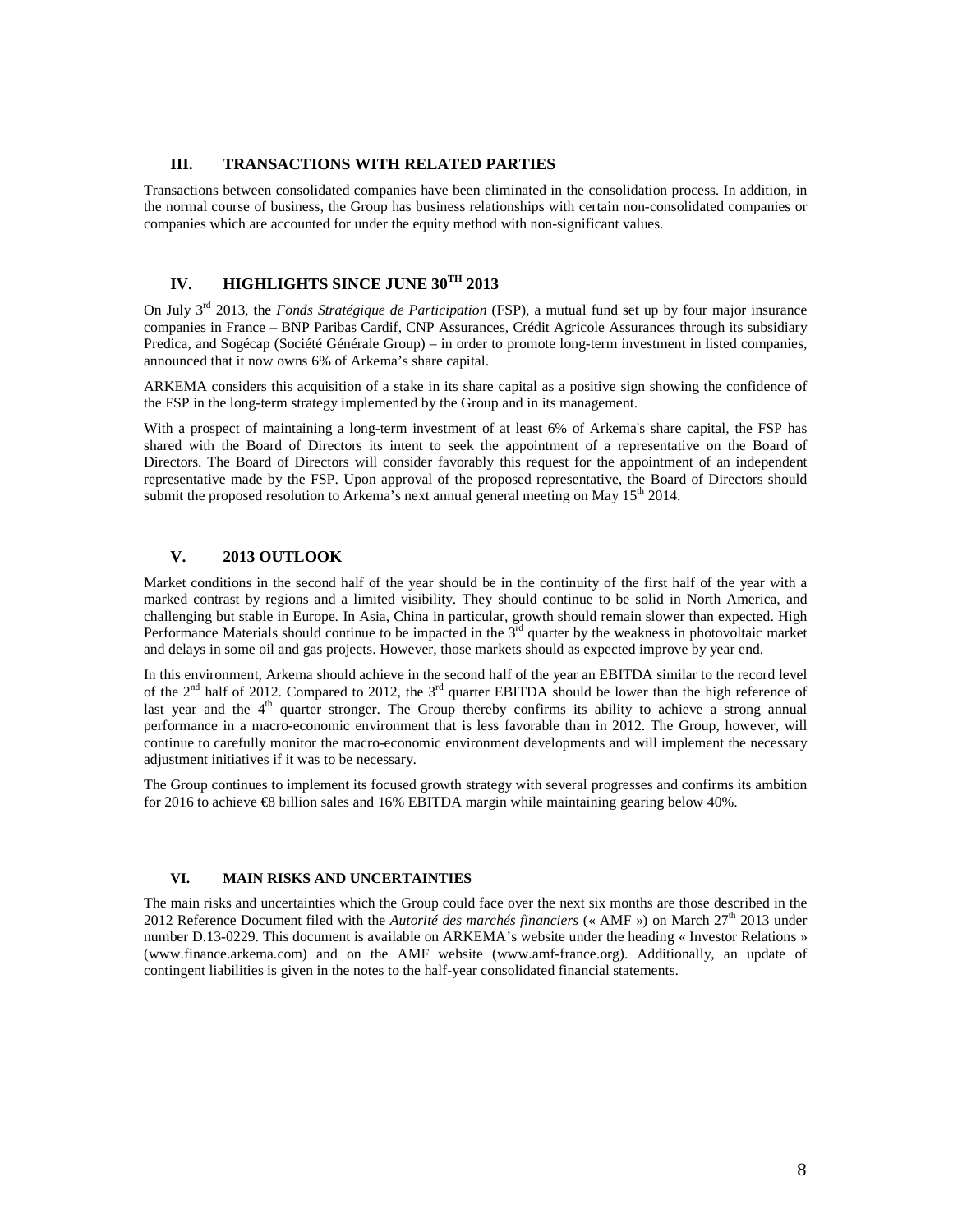### **III. TRANSACTIONS WITH RELATED PARTIES**

Transactions between consolidated companies have been eliminated in the consolidation process. In addition, in the normal course of business, the Group has business relationships with certain non-consolidated companies or companies which are accounted for under the equity method with non-significant values.

# **IV. HIGHLIGHTS SINCE JUNE 30TH 2013**

On July 3rd 2013, the *Fonds Stratégique de Participation* (FSP), a mutual fund set up by four major insurance companies in France – BNP Paribas Cardif, CNP Assurances, Crédit Agricole Assurances through its subsidiary Predica, and Sogécap (Société Générale Group) – in order to promote long-term investment in listed companies, announced that it now owns 6% of Arkema's share capital.

ARKEMA considers this acquisition of a stake in its share capital as a positive sign showing the confidence of the FSP in the long-term strategy implemented by the Group and in its management.

With a prospect of maintaining a long-term investment of at least 6% of Arkema's share capital, the FSP has shared with the Board of Directors its intent to seek the appointment of a representative on the Board of Directors. The Board of Directors will consider favorably this request for the appointment of an independent representative made by the FSP. Upon approval of the proposed representative, the Board of Directors should submit the proposed resolution to Arkema's next annual general meeting on May  $15<sup>th</sup>$  2014.

# **V. 2013 OUTLOOK**

Market conditions in the second half of the year should be in the continuity of the first half of the year with a marked contrast by regions and a limited visibility. They should continue to be solid in North America, and challenging but stable in Europe. In Asia, China in particular, growth should remain slower than expected. High Performance Materials should continue to be impacted in the 3<sup>rd</sup> quarter by the weakness in photovoltaic market and delays in some oil and gas projects. However, those markets should as expected improve by year end.

In this environment, Arkema should achieve in the second half of the year an EBITDA similar to the record level of the  $2<sup>nd</sup>$  half of 2012. Compared to 2012, the  $3<sup>rd</sup>$  quarter EBITDA should be lower than the high reference of last year and the 4<sup>th</sup> quarter stronger. The Group thereby confirms its ability to achieve a strong annual performance in a macro-economic environment that is less favorable than in 2012. The Group, however, will continue to carefully monitor the macro-economic environment developments and will implement the necessary adjustment initiatives if it was to be necessary.

The Group continues to implement its focused growth strategy with several progresses and confirms its ambition for 2016 to achieve €8 billion sales and 16% EBITDA margin while maintaining gearing below 40%.

### **VI. MAIN RISKS AND UNCERTAINTIES**

The main risks and uncertainties which the Group could face over the next six months are those described in the 2012 Reference Document filed with the *Autorité des marchés financiers* (« AMF ») on March 27th 2013 under number D.13-0229. This document is available on ARKEMA's website under the heading « Investor Relations » (www.finance.arkema.com) and on the AMF website (www.amf-france.org). Additionally, an update of contingent liabilities is given in the notes to the half-year consolidated financial statements.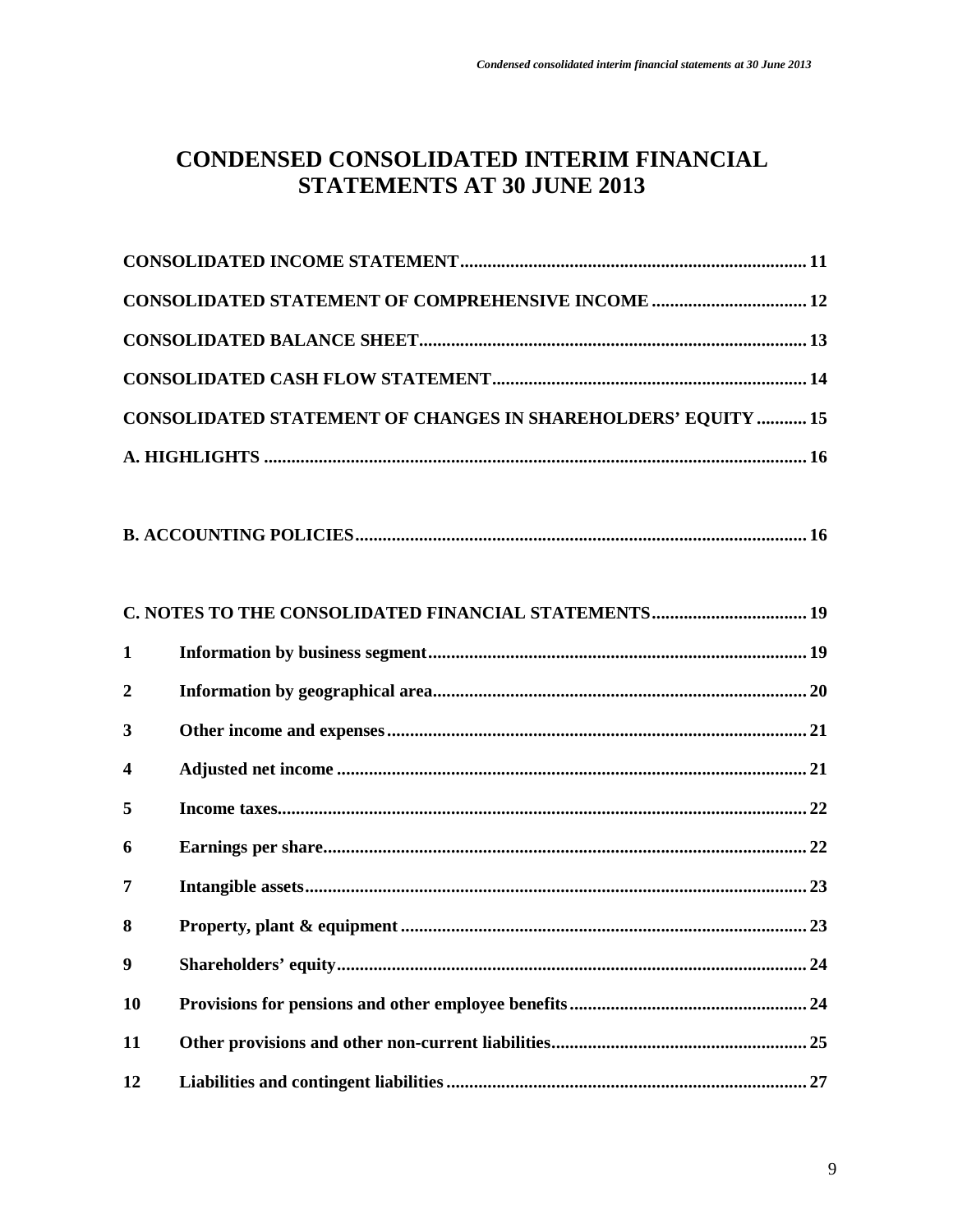# **CONDENSED CONSOLIDATED INTERIM FINANCIAL STATEMENTS AT 30 JUNE 2013**

| <b>CONSOLIDATED STATEMENT OF COMPREHENSIVE INCOME  12</b>            |  |
|----------------------------------------------------------------------|--|
|                                                                      |  |
|                                                                      |  |
| <b>CONSOLIDATED STATEMENT OF CHANGES IN SHAREHOLDERS' EQUITY  15</b> |  |
|                                                                      |  |

|--|

|                         | <b>C. NOTES TO THE CONSOLIDATED FINANCIAL STATEMENTS 19</b> |
|-------------------------|-------------------------------------------------------------|
| 1                       |                                                             |
| $\boldsymbol{2}$        |                                                             |
| 3                       |                                                             |
| $\overline{\mathbf{4}}$ |                                                             |
| 5                       |                                                             |
| 6                       |                                                             |
| 7                       |                                                             |
| 8                       |                                                             |
| 9                       |                                                             |
| 10                      |                                                             |
| 11                      |                                                             |
| 12                      |                                                             |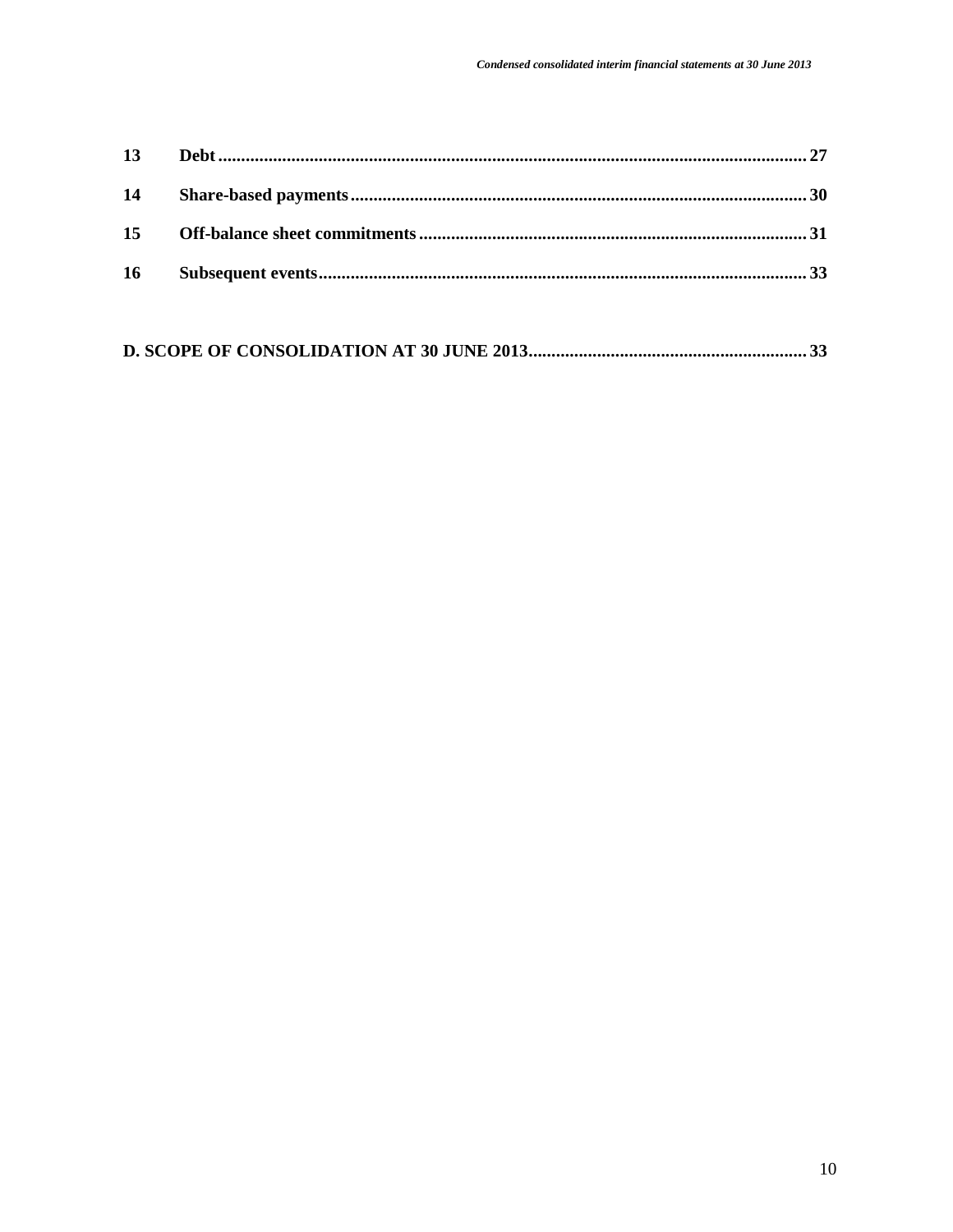| 13 |  |
|----|--|
| 14 |  |
|    |  |
| 16 |  |
|    |  |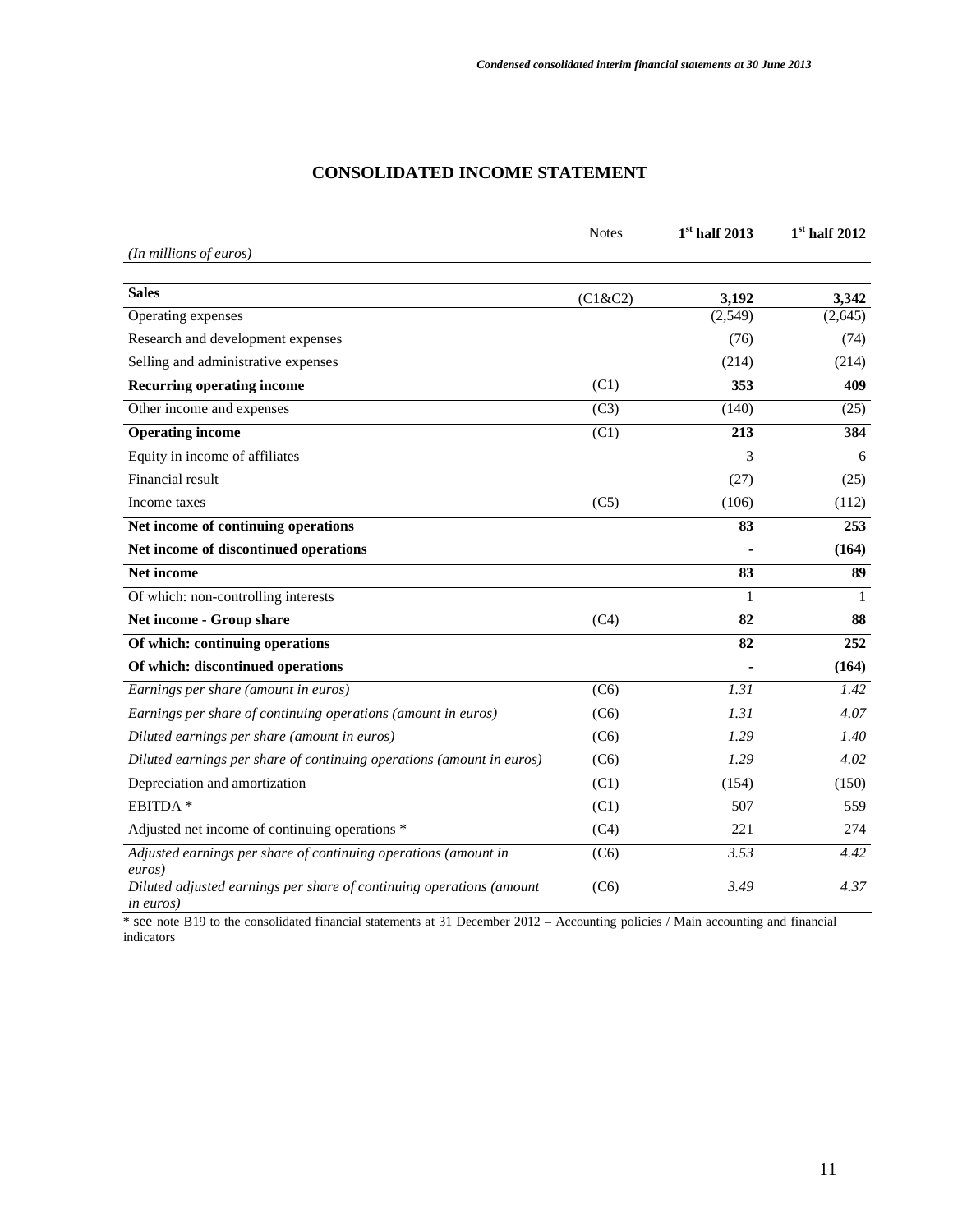# **CONSOLIDATED INCOME STATEMENT**

|                                                                                                     | <b>Notes</b> | $1st$ half 2013  | $1st$ half 2012 |
|-----------------------------------------------------------------------------------------------------|--------------|------------------|-----------------|
| (In millions of euros)                                                                              |              |                  |                 |
| <b>Sales</b>                                                                                        | (C1&C2)      | 3,192            | 3,342           |
| Operating expenses                                                                                  |              | (2, 549)         | (2,645)         |
| Research and development expenses                                                                   |              | (76)             | (74)            |
| Selling and administrative expenses                                                                 |              | (214)            | (214)           |
| <b>Recurring operating income</b>                                                                   | (C1)         | 353              | 409             |
| Other income and expenses                                                                           | (C3)         | (140)            | (25)            |
| <b>Operating income</b>                                                                             | (C1)         | $\overline{213}$ | 384             |
| Equity in income of affiliates                                                                      |              | 3                | 6               |
| Financial result                                                                                    |              | (27)             | (25)            |
| Income taxes                                                                                        | (C5)         | (106)            | (112)           |
| Net income of continuing operations                                                                 |              | 83               | 253             |
| Net income of discontinued operations                                                               |              |                  | (164)           |
| Net income                                                                                          |              | 83               | 89              |
| Of which: non-controlling interests                                                                 |              | $\mathbf{1}$     | $\mathbf{1}$    |
| Net income - Group share                                                                            | (C4)         | 82               | 88              |
| Of which: continuing operations                                                                     |              | 82               | 252             |
| Of which: discontinued operations                                                                   |              |                  | (164)           |
| Earnings per share (amount in euros)                                                                | (C6)         | 1.31             | 1.42            |
| Earnings per share of continuing operations (amount in euros)                                       | (C6)         | 1.31             | 4.07            |
| Diluted earnings per share (amount in euros)                                                        | (C6)         | 1.29             | 1.40            |
| Diluted earnings per share of continuing operations (amount in euros)                               | (C6)         | 1.29             | 4.02            |
| Depreciation and amortization                                                                       | (C1)         | (154)            | (150)           |
| EBITDA <sup>*</sup>                                                                                 | (C1)         | 507              | 559             |
| Adjusted net income of continuing operations *                                                      | (C4)         | 221              | 274             |
| Adjusted earnings per share of continuing operations (amount in                                     | (C6)         | 3.53             | 4.42            |
| euros)<br>Diluted adjusted earnings per share of continuing operations (amount<br><i>in euros</i> ) | (C6)         | 3.49             | 4.37            |

\* see note B19 to the consolidated financial statements at 31 December 2012 – Accounting policies / Main accounting and financial indicators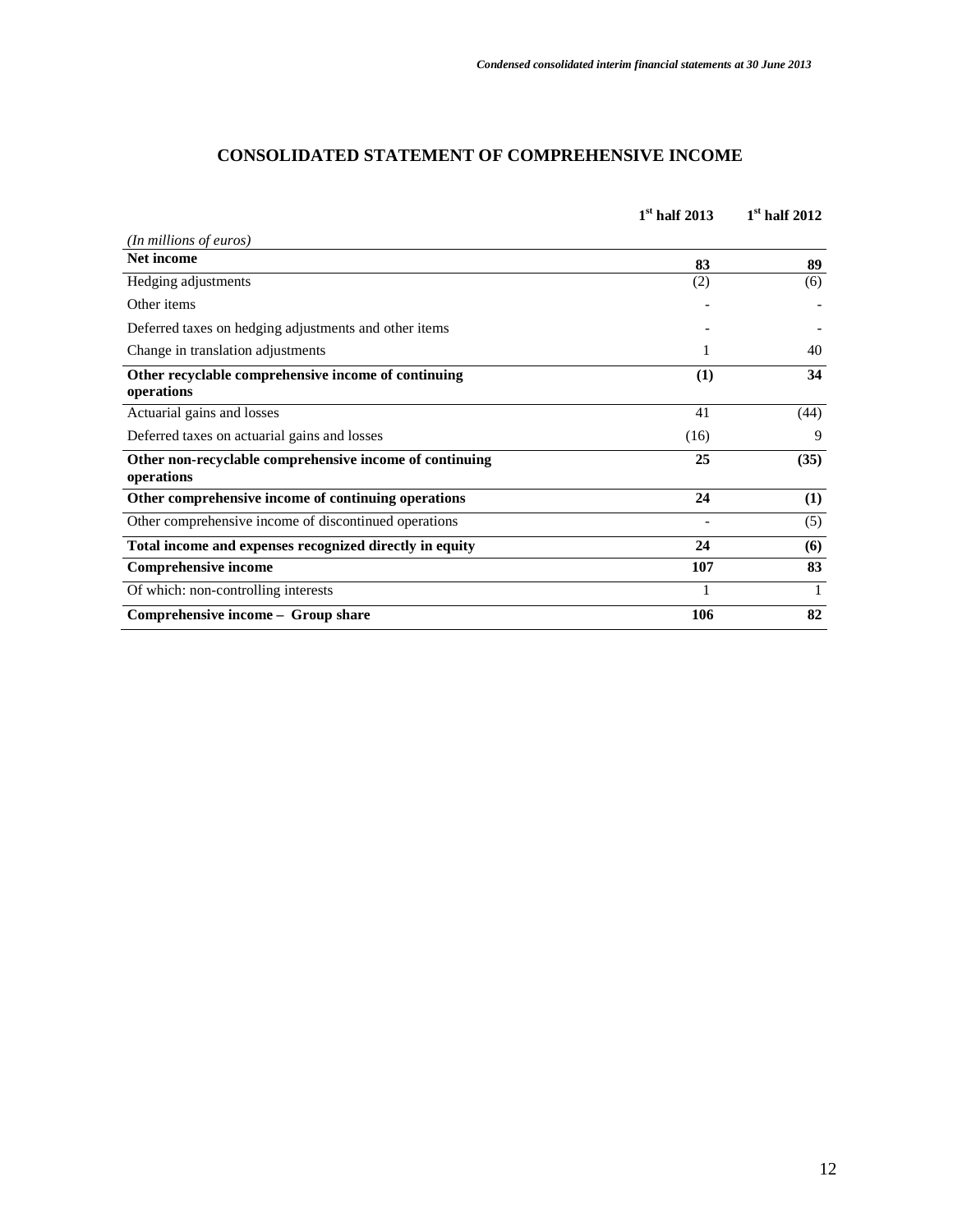# **CONSOLIDATED STATEMENT OF COMPREHENSIVE INCOME**

|                                                                       | $1st$ half 2013 | $1st$ half 2012 |
|-----------------------------------------------------------------------|-----------------|-----------------|
| (In millions of euros)                                                |                 |                 |
| <b>Net income</b>                                                     | 83              | 89              |
| Hedging adjustments                                                   | (2)             | (6)             |
| Other items                                                           |                 |                 |
| Deferred taxes on hedging adjustments and other items                 |                 |                 |
| Change in translation adjustments                                     |                 | 40              |
| Other recyclable comprehensive income of continuing<br>operations     | (1)             | 34              |
| Actuarial gains and losses                                            | 41              | (44)            |
| Deferred taxes on actuarial gains and losses                          | (16)            | 9               |
| Other non-recyclable comprehensive income of continuing<br>operations | 25              | (35)            |
| Other comprehensive income of continuing operations                   | 24              | (1)             |
| Other comprehensive income of discontinued operations                 |                 | (5)             |
| Total income and expenses recognized directly in equity               | 24              | (6)             |
| <b>Comprehensive income</b>                                           | 107             | 83              |
| Of which: non-controlling interests                                   |                 | 1               |
| Comprehensive income - Group share                                    | 106             | 82              |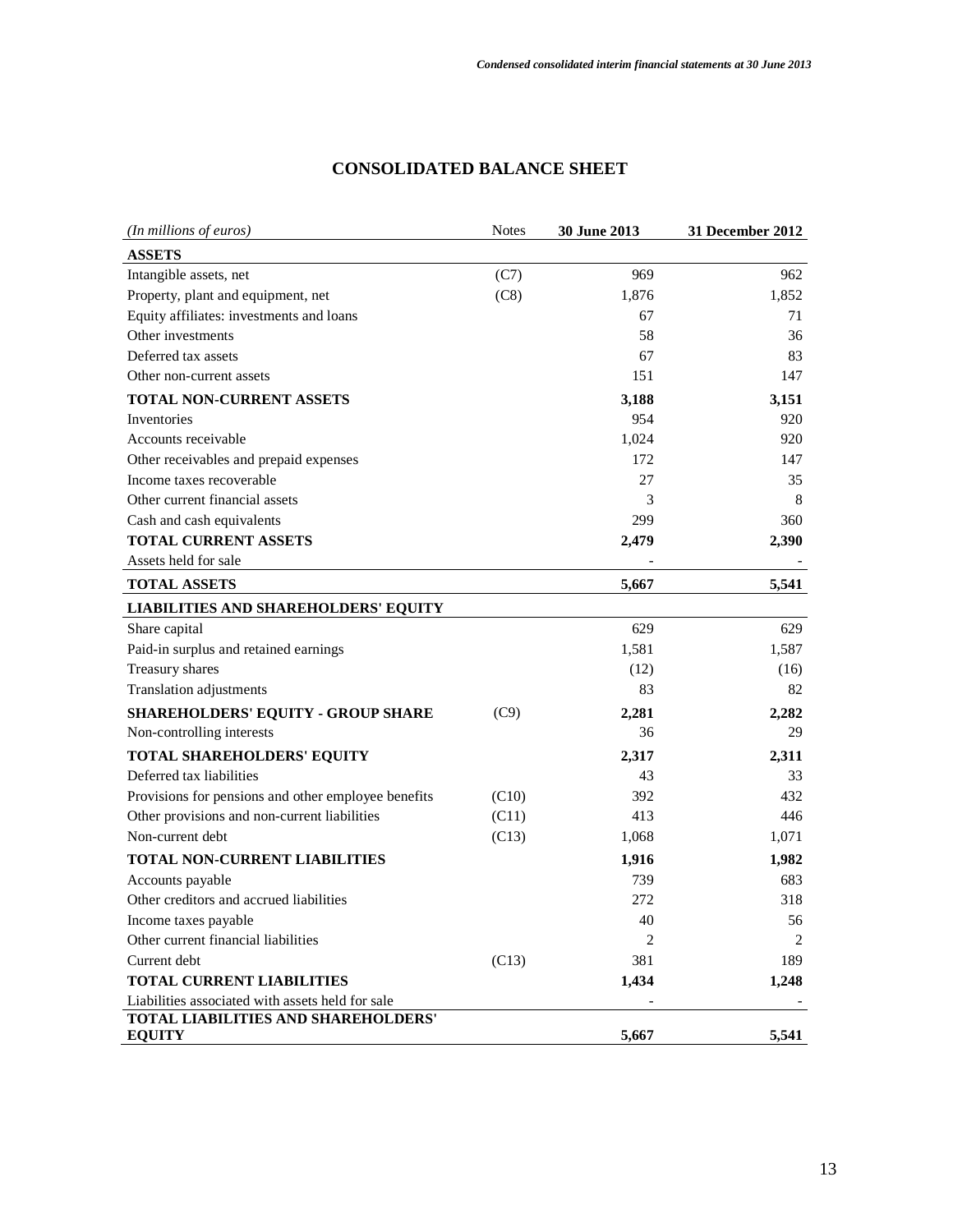| (In millions of euros)                              | <b>Notes</b> | 30 June 2013   | 31 December 2012 |
|-----------------------------------------------------|--------------|----------------|------------------|
| <b>ASSETS</b>                                       |              |                |                  |
| Intangible assets, net                              | (C7)         | 969            | 962              |
| Property, plant and equipment, net                  | (C8)         | 1,876          | 1,852            |
| Equity affiliates: investments and loans            |              | 67             | 71               |
| Other investments                                   |              | 58             | 36               |
| Deferred tax assets                                 |              | 67             | 83               |
| Other non-current assets                            |              | 151            | 147              |
| <b>TOTAL NON-CURRENT ASSETS</b>                     |              | 3,188          | 3,151            |
| Inventories                                         |              | 954            | 920              |
| Accounts receivable                                 |              | 1,024          | 920              |
| Other receivables and prepaid expenses              |              | 172            | 147              |
| Income taxes recoverable                            |              | 27             | 35               |
| Other current financial assets                      |              | 3              | 8                |
| Cash and cash equivalents                           |              | 299            | 360              |
| <b>TOTAL CURRENT ASSETS</b>                         |              | 2,479          | 2,390            |
| Assets held for sale                                |              |                |                  |
| <b>TOTAL ASSETS</b>                                 |              | 5,667          | 5,541            |
| <b>LIABILITIES AND SHAREHOLDERS' EQUITY</b>         |              |                |                  |
| Share capital                                       |              | 629            | 629              |
| Paid-in surplus and retained earnings               |              | 1,581          | 1,587            |
| Treasury shares                                     |              | (12)           | (16)             |
| Translation adjustments                             |              | 83             | 82               |
| <b>SHAREHOLDERS' EQUITY - GROUP SHARE</b>           | (C9)         | 2,281          | 2,282            |
| Non-controlling interests                           |              | 36             | 29               |
| TOTAL SHAREHOLDERS' EQUITY                          |              | 2,317          | 2,311            |
| Deferred tax liabilities                            |              | 43             | 33               |
| Provisions for pensions and other employee benefits | (C10)        | 392            | 432              |
| Other provisions and non-current liabilities        | (C11)        | 413            | 446              |
| Non-current debt                                    | (C13)        | 1,068          | 1,071            |
| <b>TOTAL NON-CURRENT LIABILITIES</b>                |              | 1,916          | 1,982            |
| Accounts payable                                    |              | 739            | 683              |
| Other creditors and accrued liabilities             |              | 272            | 318              |
| Income taxes payable                                |              | 40             | 56               |
| Other current financial liabilities                 |              | $\overline{2}$ | 2                |
| Current debt                                        | (C13)        | 381            | 189              |
| <b>TOTAL CURRENT LIABILITIES</b>                    |              | 1,434          | 1,248            |
| Liabilities associated with assets held for sale    |              |                |                  |
| TOTAL LIABILITIES AND SHAREHOLDERS'                 |              |                |                  |
| <b>EQUITY</b>                                       |              | 5,667          | 5,541            |

# **CONSOLIDATED BALANCE SHEET**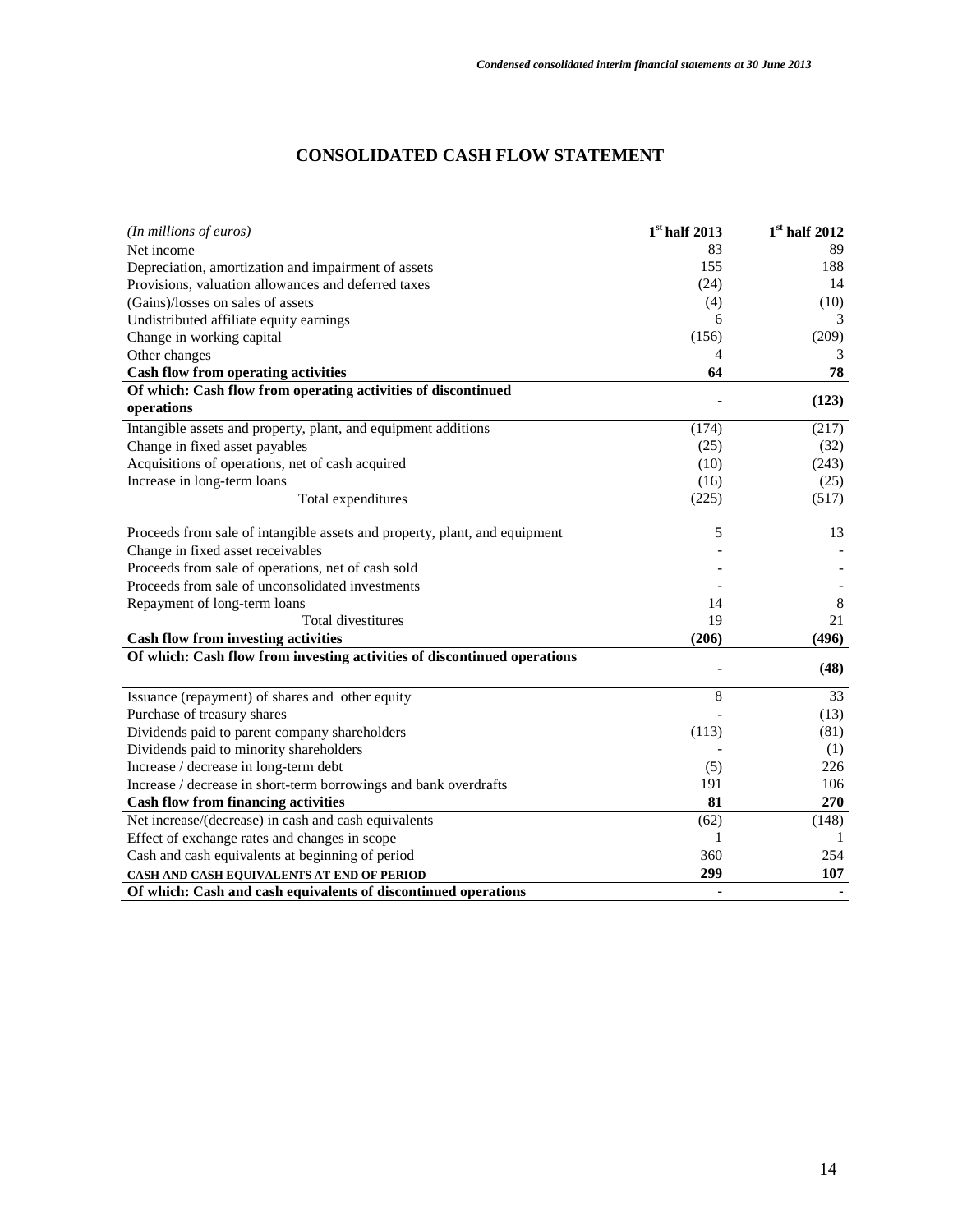# **CONSOLIDATED CASH FLOW STATEMENT**

| (In millions of euros)                                                     | $1st$ half 2013 | $1^\mathrm{st}$ half 2012 |
|----------------------------------------------------------------------------|-----------------|---------------------------|
| Net income                                                                 | 83              | 89                        |
| Depreciation, amortization and impairment of assets                        | 155             | 188                       |
| Provisions, valuation allowances and deferred taxes                        | (24)            | 14                        |
| (Gains)/losses on sales of assets                                          | (4)             | (10)                      |
| Undistributed affiliate equity earnings                                    | 6               | 3                         |
| Change in working capital                                                  | (156)           | (209)                     |
| Other changes                                                              | 4               | 3                         |
| <b>Cash flow from operating activities</b>                                 | 64              | 78                        |
| Of which: Cash flow from operating activities of discontinued              |                 |                           |
| operations                                                                 |                 | (123)                     |
| Intangible assets and property, plant, and equipment additions             | (174)           | (217)                     |
| Change in fixed asset payables                                             | (25)            | (32)                      |
| Acquisitions of operations, net of cash acquired                           | (10)            | (243)                     |
| Increase in long-term loans                                                | (16)            | (25)                      |
| Total expenditures                                                         | (225)           | (517)                     |
|                                                                            |                 |                           |
| Proceeds from sale of intangible assets and property, plant, and equipment | 5               | 13                        |
| Change in fixed asset receivables                                          |                 |                           |
| Proceeds from sale of operations, net of cash sold                         |                 |                           |
| Proceeds from sale of unconsolidated investments                           |                 |                           |
| Repayment of long-term loans                                               | 14              | 8                         |
| <b>Total divestitures</b>                                                  | 19              | 21                        |
| Cash flow from investing activities                                        | (206)           | (496)                     |
| Of which: Cash flow from investing activities of discontinued operations   |                 |                           |
|                                                                            |                 | (48)                      |
| Issuance (repayment) of shares and other equity                            | 8               | 33                        |
| Purchase of treasury shares                                                |                 | (13)                      |
| Dividends paid to parent company shareholders                              | (113)           | (81)                      |
| Dividends paid to minority shareholders                                    |                 | (1)                       |
| Increase / decrease in long-term debt                                      | (5)             | 226                       |
| Increase / decrease in short-term borrowings and bank overdrafts           | 191             | 106                       |
| <b>Cash flow from financing activities</b>                                 | 81              | 270                       |
| Net increase/(decrease) in cash and cash equivalents                       | (62)            | (148)                     |
| Effect of exchange rates and changes in scope                              | 1               | 1                         |
| Cash and cash equivalents at beginning of period                           | 360             | 254                       |
| CASH AND CASH EQUIVALENTS AT END OF PERIOD                                 | 299             | 107                       |
| Of which: Cash and cash equivalents of discontinued operations             |                 |                           |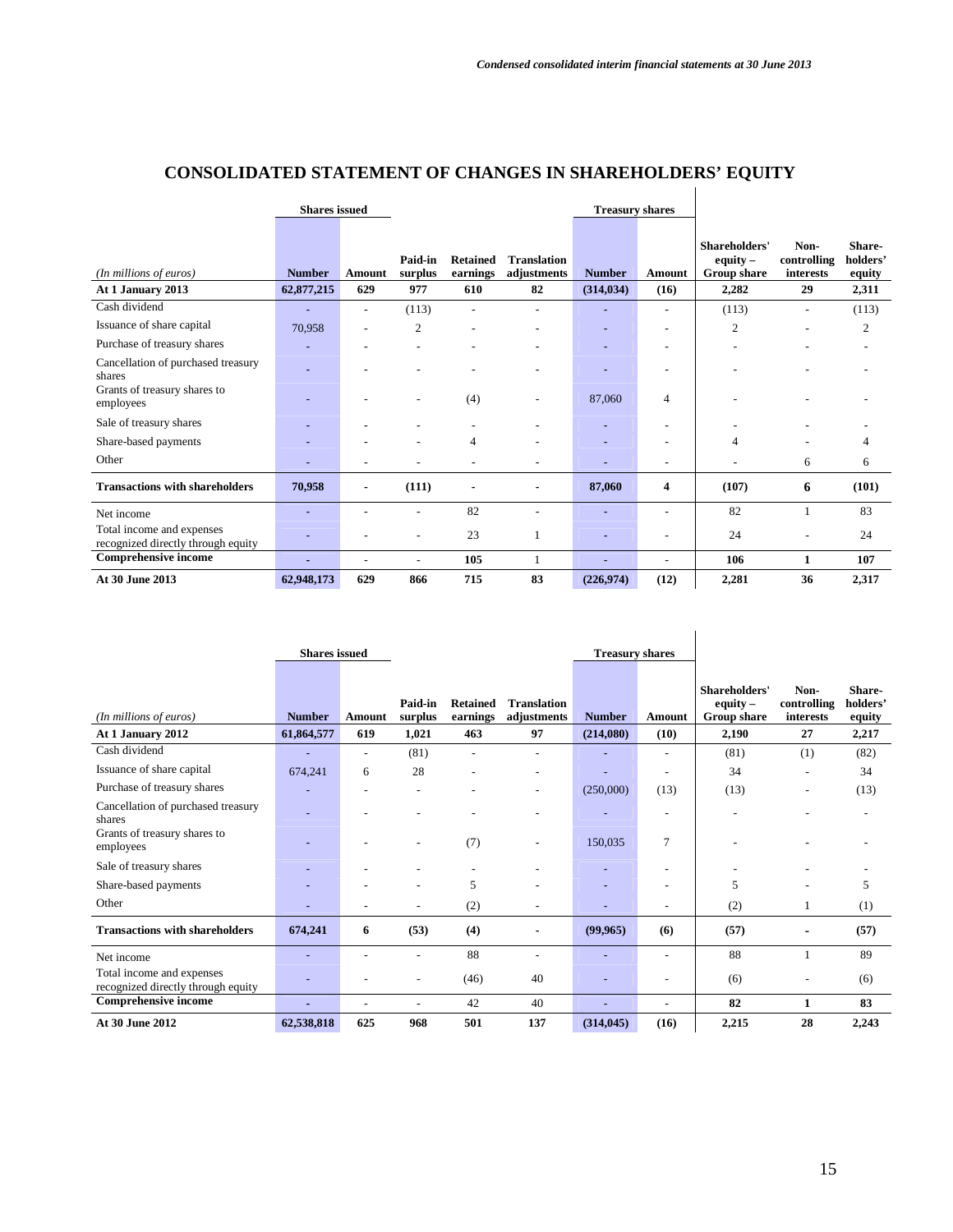|                                                                 | <b>Shares</b> issued        |                          |                              |                                    |                                         | <b>Treasury shares</b>      |                |                                                     |                                        |                                       |
|-----------------------------------------------------------------|-----------------------------|--------------------------|------------------------------|------------------------------------|-----------------------------------------|-----------------------------|----------------|-----------------------------------------------------|----------------------------------------|---------------------------------------|
| (In millions of euros)<br>At 1 January 2013                     | <b>Number</b><br>62,877,215 | Amount<br>629            | Paid-in<br>surplus<br>977    | <b>Retained</b><br>earnings<br>610 | <b>Translation</b><br>adjustments<br>82 | <b>Number</b><br>(314, 034) | Amount<br>(16) | Shareholders'<br>equity $-$<br>Group share<br>2,282 | Non-<br>controlling<br>interests<br>29 | Share-<br>holders'<br>equity<br>2,311 |
| Cash dividend                                                   | ÷                           | $\overline{\phantom{a}}$ | (113)                        | $\overline{\phantom{a}}$           | ÷,                                      |                             |                | (113)                                               | $\overline{\phantom{a}}$               | (113)                                 |
| Issuance of share capital                                       | 70,958                      |                          | $\overline{2}$               |                                    |                                         |                             |                | $\overline{2}$                                      | $\overline{a}$                         | $\overline{2}$                        |
| Purchase of treasury shares                                     | -                           |                          | $\overline{\phantom{0}}$     |                                    |                                         | $\overline{\phantom{a}}$    |                |                                                     |                                        | ۰                                     |
| Cancellation of purchased treasury<br>shares                    | ÷                           |                          |                              |                                    |                                         |                             |                |                                                     |                                        |                                       |
| Grants of treasury shares to<br>employees                       | ٠                           |                          | ٠                            | (4)                                |                                         | 87,060                      | 4              |                                                     |                                        |                                       |
| Sale of treasury shares                                         |                             |                          |                              |                                    |                                         |                             |                |                                                     |                                        |                                       |
| Share-based payments                                            | ٠                           |                          | ٠                            | $\overline{4}$                     | ٠                                       | ٠                           |                | $\overline{4}$                                      | ٠                                      | 4                                     |
| Other                                                           |                             |                          |                              |                                    |                                         |                             | $\blacksquare$ |                                                     | 6                                      | 6                                     |
| <b>Transactions with shareholders</b>                           | 70,958                      | $\blacksquare$           | (111)                        |                                    |                                         | 87,060                      | 4              | (107)                                               | 6                                      | (101)                                 |
| Net income                                                      | ٠                           |                          | $\qquad \qquad \blacksquare$ | 82                                 | ٠                                       | ٠                           |                | 82                                                  |                                        | 83                                    |
| Total income and expenses<br>recognized directly through equity |                             |                          | ۰                            | 23                                 |                                         |                             |                | 24                                                  |                                        | 24                                    |
| <b>Comprehensive income</b>                                     | ٠                           | $\overline{\phantom{a}}$ | $\qquad \qquad \blacksquare$ | 105                                |                                         |                             |                | 106                                                 |                                        | 107                                   |
| At 30 June 2013                                                 | 62,948,173                  | 629                      | 866                          | 715                                | 83                                      | (226,974)                   | (12)           | 2,281                                               | 36                                     | 2,317                                 |

# **CONSOLIDATED STATEMENT OF CHANGES IN SHAREHOLDERS' EQUITY**

|                                                                              | <b>Shares</b> issued |                          |                              |                             |                                   | <b>Treasury shares</b>   |                          |                                            |                                  |                              |
|------------------------------------------------------------------------------|----------------------|--------------------------|------------------------------|-----------------------------|-----------------------------------|--------------------------|--------------------------|--------------------------------------------|----------------------------------|------------------------------|
| (In millions of euros)                                                       | <b>Number</b>        | Amount                   | Paid-in<br>surplus           | <b>Retained</b><br>earnings | <b>Translation</b><br>adjustments | <b>Number</b>            | <b>Amount</b>            | Shareholders'<br>equity $-$<br>Group share | Non-<br>controlling<br>interests | Share-<br>holders'<br>equity |
| At 1 January 2012                                                            | 61,864,577           | 619                      | 1,021                        | 463                         | 97                                | (214,080)                | (10)                     | 2,190                                      | 27                               | 2,217                        |
| Cash dividend                                                                |                      | $\overline{\phantom{a}}$ | (81)                         |                             | ٠                                 |                          | ۰                        | (81)                                       | (1)                              | (82)                         |
| Issuance of share capital                                                    | 674,241              | 6                        | 28                           |                             |                                   |                          | $\blacksquare$           | 34                                         |                                  | 34                           |
| Purchase of treasury shares                                                  | ٠                    |                          | $\overline{\phantom{a}}$     |                             | $\overline{\phantom{a}}$          | (250,000)                | (13)                     | (13)                                       | $\overline{\phantom{a}}$         | (13)                         |
| Cancellation of purchased treasury<br>shares<br>Grants of treasury shares to | ۰                    |                          |                              |                             |                                   | ٠                        | ۰                        |                                            |                                  |                              |
| employees                                                                    |                      |                          | $\qquad \qquad \blacksquare$ | (7)                         | ٠                                 | 150,035                  | $\overline{7}$           |                                            |                                  |                              |
| Sale of treasury shares                                                      |                      |                          |                              |                             |                                   |                          | ۰                        |                                            |                                  |                              |
| Share-based payments                                                         |                      |                          | $\qquad \qquad \blacksquare$ | 5                           |                                   |                          | ٠                        | 5                                          |                                  | 5                            |
| Other                                                                        | ÷                    |                          | ۰                            | (2)                         |                                   |                          | $\overline{\phantom{a}}$ | (2)                                        |                                  | (1)                          |
| <b>Transactions with shareholders</b>                                        | 674,241              | 6                        | (53)                         | (4)                         |                                   | (99, 965)                | (6)                      | (57)                                       |                                  | (57)                         |
| Net income                                                                   |                      |                          | ۰                            | 88                          | $\overline{\phantom{a}}$          |                          | $\overline{\phantom{a}}$ | 88                                         |                                  | 89                           |
| Total income and expenses<br>recognized directly through equity              | -                    |                          | $\overline{a}$               | (46)                        | 40                                |                          | $\overline{\phantom{a}}$ | (6)                                        |                                  | (6)                          |
| <b>Comprehensive income</b>                                                  | ٠                    |                          | ٠                            | 42                          | 40                                | $\overline{\phantom{a}}$ | ٠                        | 82                                         | 1                                | 83                           |
| At 30 June 2012                                                              | 62,538,818           | 625                      | 968                          | 501                         | 137                               | (314, 045)               | (16)                     | 2,215                                      | 28                               | 2,243                        |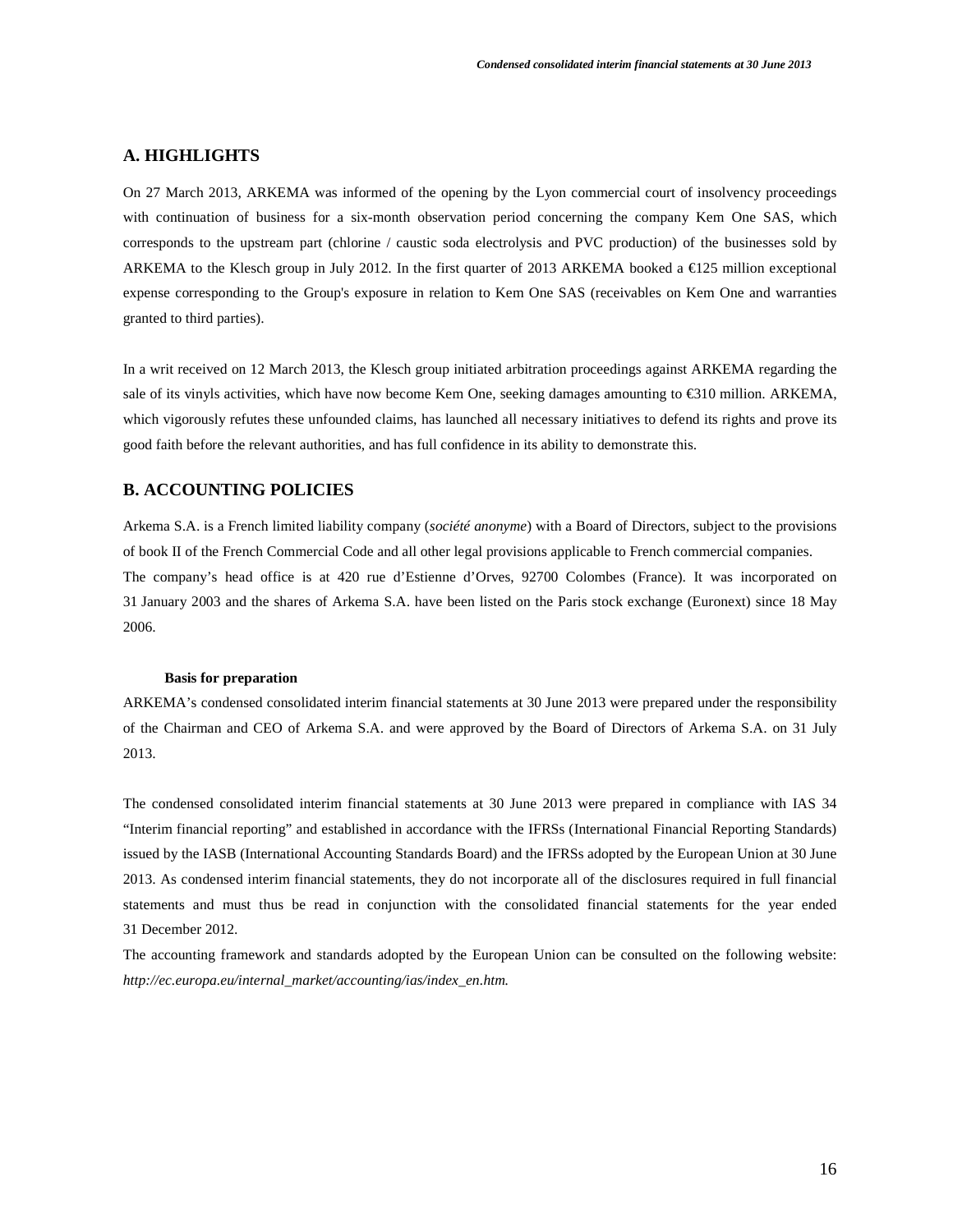# **A. HIGHLIGHTS**

On 27 March 2013, ARKEMA was informed of the opening by the Lyon commercial court of insolvency proceedings with continuation of business for a six-month observation period concerning the company Kem One SAS, which corresponds to the upstream part (chlorine / caustic soda electrolysis and PVC production) of the businesses sold by ARKEMA to the Klesch group in July 2012. In the first quarter of 2013 ARKEMA booked a  $\epsilon$ 125 million exceptional expense corresponding to the Group's exposure in relation to Kem One SAS (receivables on Kem One and warranties granted to third parties).

In a writ received on 12 March 2013, the Klesch group initiated arbitration proceedings against ARKEMA regarding the sale of its vinyls activities, which have now become Kem One, seeking damages amounting to €310 million. ARKEMA, which vigorously refutes these unfounded claims, has launched all necessary initiatives to defend its rights and prove its good faith before the relevant authorities, and has full confidence in its ability to demonstrate this.

### **B. ACCOUNTING POLICIES**

Arkema S.A. is a French limited liability company (*société anonyme*) with a Board of Directors, subject to the provisions of book II of the French Commercial Code and all other legal provisions applicable to French commercial companies. The company's head office is at 420 rue d'Estienne d'Orves, 92700 Colombes (France). It was incorporated on 31 January 2003 and the shares of Arkema S.A. have been listed on the Paris stock exchange (Euronext) since 18 May 2006.

### **Basis for preparation**

ARKEMA's condensed consolidated interim financial statements at 30 June 2013 were prepared under the responsibility of the Chairman and CEO of Arkema S.A. and were approved by the Board of Directors of Arkema S.A. on 31 July 2013.

The condensed consolidated interim financial statements at 30 June 2013 were prepared in compliance with IAS 34 "Interim financial reporting" and established in accordance with the IFRSs (International Financial Reporting Standards) issued by the IASB (International Accounting Standards Board) and the IFRSs adopted by the European Union at 30 June 2013. As condensed interim financial statements, they do not incorporate all of the disclosures required in full financial statements and must thus be read in conjunction with the consolidated financial statements for the year ended 31 December 2012.

The accounting framework and standards adopted by the European Union can be consulted on the following website: *http://ec.europa.eu/internal\_market/accounting/ias/index\_en.htm.*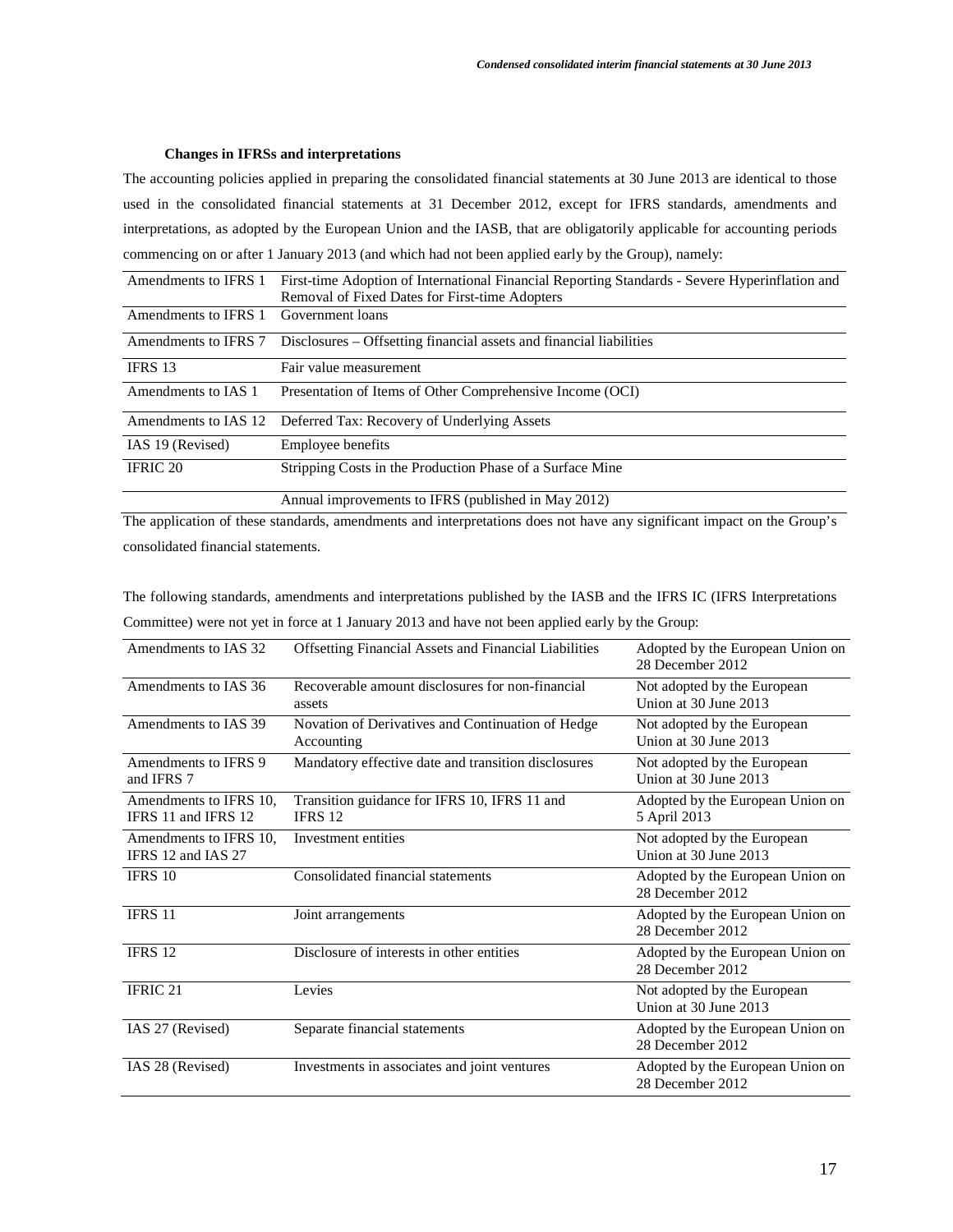## **Changes in IFRSs and interpretations**

The accounting policies applied in preparing the consolidated financial statements at 30 June 2013 are identical to those used in the consolidated financial statements at 31 December 2012, except for IFRS standards, amendments and interpretations, as adopted by the European Union and the IASB, that are obligatorily applicable for accounting periods commencing on or after 1 January 2013 (and which had not been applied early by the Group), namely:

| Amendments to IFRS 1 | First-time Adoption of International Financial Reporting Standards - Severe Hyperinflation and |
|----------------------|------------------------------------------------------------------------------------------------|
|                      | Removal of Fixed Dates for First-time Adopters                                                 |
| Amendments to IFRS 1 | Government loans                                                                               |
| Amendments to IFRS 7 | Disclosures – Offsetting financial assets and financial liabilities                            |
| <b>IFRS 13</b>       | Fair value measurement                                                                         |
| Amendments to IAS 1  | Presentation of Items of Other Comprehensive Income (OCI)                                      |
|                      | Amendments to IAS 12 Deferred Tax: Recovery of Underlying Assets                               |
| IAS 19 (Revised)     | Employee benefits                                                                              |
| <b>IFRIC 20</b>      | Stripping Costs in the Production Phase of a Surface Mine                                      |
|                      | Annual improvements to IFRS (published in May 2012)                                            |

The application of these standards, amendments and interpretations does not have any significant impact on the Group's consolidated financial statements.

| The following standards, amendments and interpretations published by the IASB and the IFRS IC (IFRS Interpretations |  |
|---------------------------------------------------------------------------------------------------------------------|--|
| Committee) were not yet in force at 1 January 2013 and have not been applied early by the Group:                    |  |

| Amendments to IAS 32                          | <b>Offsetting Financial Assets and Financial Liabilities</b>    | Adopted by the European Union on<br>28 December 2012 |
|-----------------------------------------------|-----------------------------------------------------------------|------------------------------------------------------|
| Amendments to IAS 36                          | Recoverable amount disclosures for non-financial<br>assets      | Not adopted by the European<br>Union at 30 June 2013 |
| Amendments to IAS 39                          | Novation of Derivatives and Continuation of Hedge<br>Accounting | Not adopted by the European<br>Union at 30 June 2013 |
| Amendments to IFRS 9<br>and IFRS 7            | Mandatory effective date and transition disclosures             | Not adopted by the European<br>Union at 30 June 2013 |
| Amendments to IFRS 10.<br>IFRS 11 and IFRS 12 | Transition guidance for IFRS 10, IFRS 11 and<br><b>IFRS 12</b>  | Adopted by the European Union on<br>5 April 2013     |
| Amendments to IFRS 10,<br>IFRS 12 and IAS 27  | Investment entities                                             | Not adopted by the European<br>Union at 30 June 2013 |
| IFRS 10                                       | Consolidated financial statements                               | Adopted by the European Union on<br>28 December 2012 |
| <b>IFRS 11</b>                                | Joint arrangements                                              | Adopted by the European Union on<br>28 December 2012 |
| IFRS 12                                       | Disclosure of interests in other entities                       | Adopted by the European Union on<br>28 December 2012 |
| IFRIC 21                                      | Levies                                                          | Not adopted by the European<br>Union at 30 June 2013 |
| IAS 27 (Revised)                              | Separate financial statements                                   | Adopted by the European Union on<br>28 December 2012 |
| IAS 28 (Revised)                              | Investments in associates and joint ventures                    | Adopted by the European Union on<br>28 December 2012 |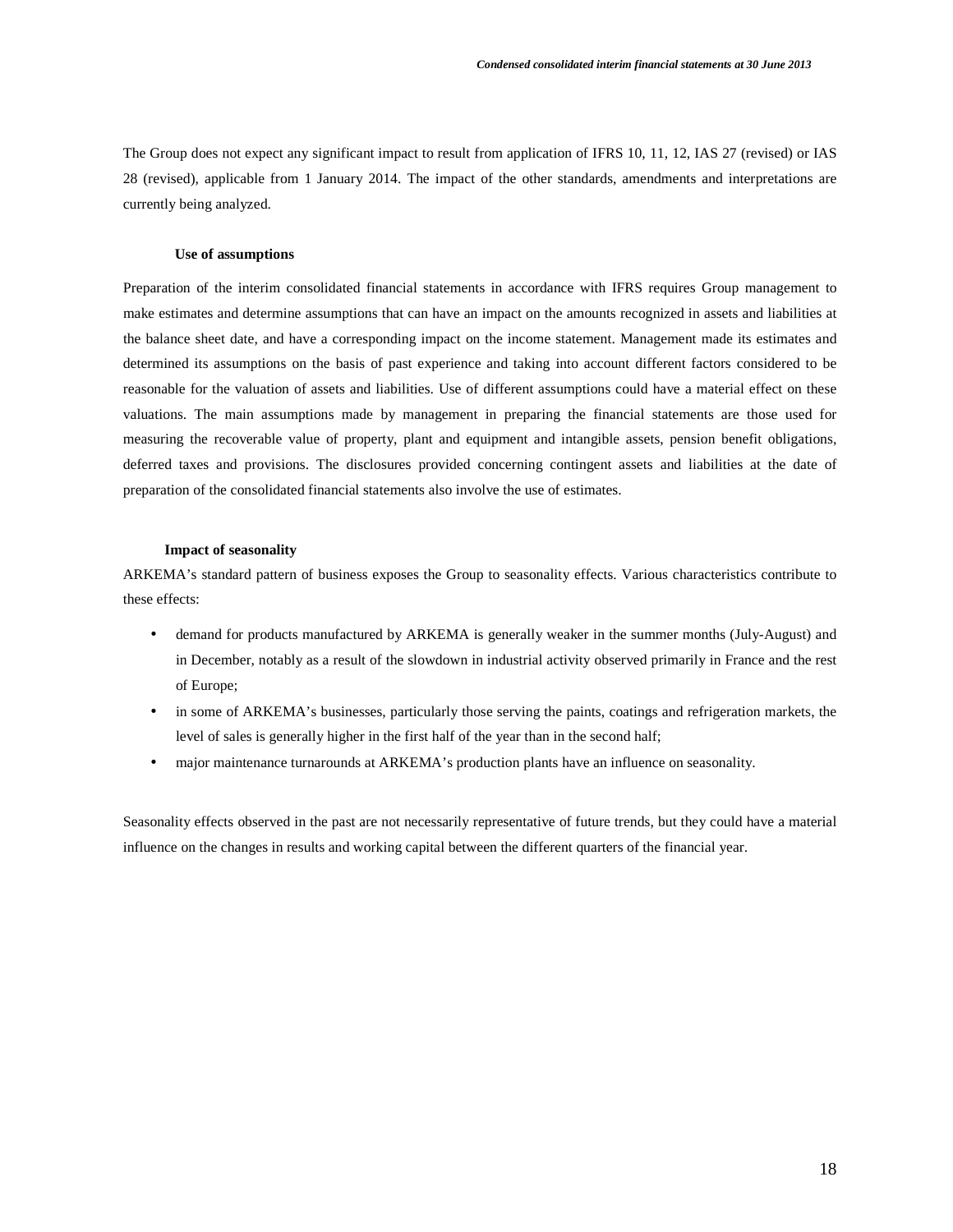The Group does not expect any significant impact to result from application of IFRS 10, 11, 12, IAS 27 (revised) or IAS 28 (revised), applicable from 1 January 2014. The impact of the other standards, amendments and interpretations are currently being analyzed.

#### **Use of assumptions**

Preparation of the interim consolidated financial statements in accordance with IFRS requires Group management to make estimates and determine assumptions that can have an impact on the amounts recognized in assets and liabilities at the balance sheet date, and have a corresponding impact on the income statement. Management made its estimates and determined its assumptions on the basis of past experience and taking into account different factors considered to be reasonable for the valuation of assets and liabilities. Use of different assumptions could have a material effect on these valuations. The main assumptions made by management in preparing the financial statements are those used for measuring the recoverable value of property, plant and equipment and intangible assets, pension benefit obligations, deferred taxes and provisions. The disclosures provided concerning contingent assets and liabilities at the date of preparation of the consolidated financial statements also involve the use of estimates.

#### **Impact of seasonality**

ARKEMA's standard pattern of business exposes the Group to seasonality effects. Various characteristics contribute to these effects:

- demand for products manufactured by ARKEMA is generally weaker in the summer months (July-August) and in December, notably as a result of the slowdown in industrial activity observed primarily in France and the rest of Europe;
- in some of ARKEMA's businesses, particularly those serving the paints, coatings and refrigeration markets, the level of sales is generally higher in the first half of the year than in the second half;
- major maintenance turnarounds at ARKEMA's production plants have an influence on seasonality.

Seasonality effects observed in the past are not necessarily representative of future trends, but they could have a material influence on the changes in results and working capital between the different quarters of the financial year.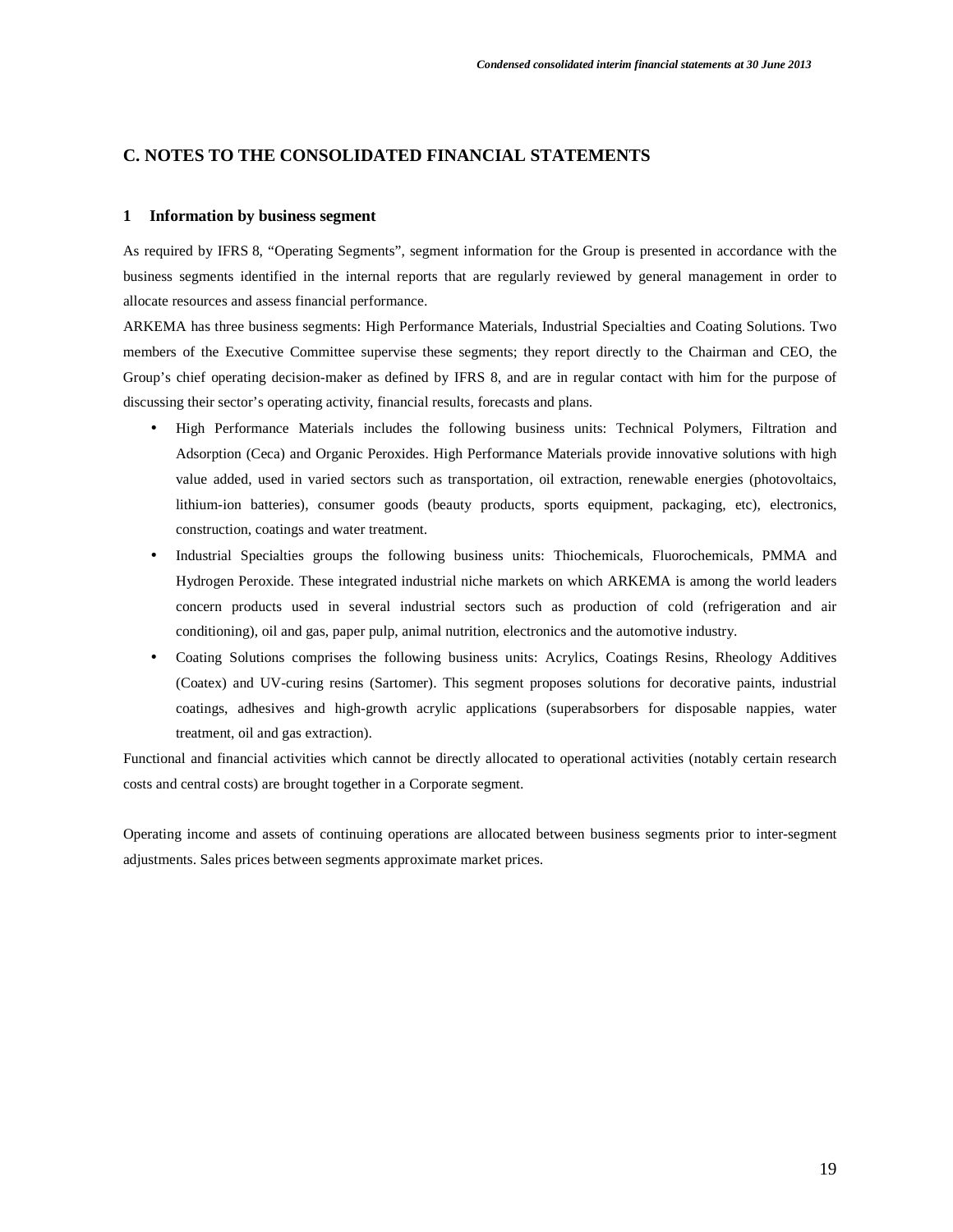# **C. NOTES TO THE CONSOLIDATED FINANCIAL STATEMENTS**

#### **1 Information by business segment**

As required by IFRS 8, "Operating Segments", segment information for the Group is presented in accordance with the business segments identified in the internal reports that are regularly reviewed by general management in order to allocate resources and assess financial performance.

ARKEMA has three business segments: High Performance Materials, Industrial Specialties and Coating Solutions. Two members of the Executive Committee supervise these segments; they report directly to the Chairman and CEO, the Group's chief operating decision-maker as defined by IFRS 8, and are in regular contact with him for the purpose of discussing their sector's operating activity, financial results, forecasts and plans.

- High Performance Materials includes the following business units: Technical Polymers, Filtration and Adsorption (Ceca) and Organic Peroxides. High Performance Materials provide innovative solutions with high value added, used in varied sectors such as transportation, oil extraction, renewable energies (photovoltaics, lithium-ion batteries), consumer goods (beauty products, sports equipment, packaging, etc), electronics, construction, coatings and water treatment.
- Industrial Specialties groups the following business units: Thiochemicals, Fluorochemicals, PMMA and Hydrogen Peroxide. These integrated industrial niche markets on which ARKEMA is among the world leaders concern products used in several industrial sectors such as production of cold (refrigeration and air conditioning), oil and gas, paper pulp, animal nutrition, electronics and the automotive industry.
- Coating Solutions comprises the following business units: Acrylics, Coatings Resins, Rheology Additives (Coatex) and UV-curing resins (Sartomer). This segment proposes solutions for decorative paints, industrial coatings, adhesives and high-growth acrylic applications (superabsorbers for disposable nappies, water treatment, oil and gas extraction).

Functional and financial activities which cannot be directly allocated to operational activities (notably certain research costs and central costs) are brought together in a Corporate segment.

Operating income and assets of continuing operations are allocated between business segments prior to inter-segment adjustments. Sales prices between segments approximate market prices.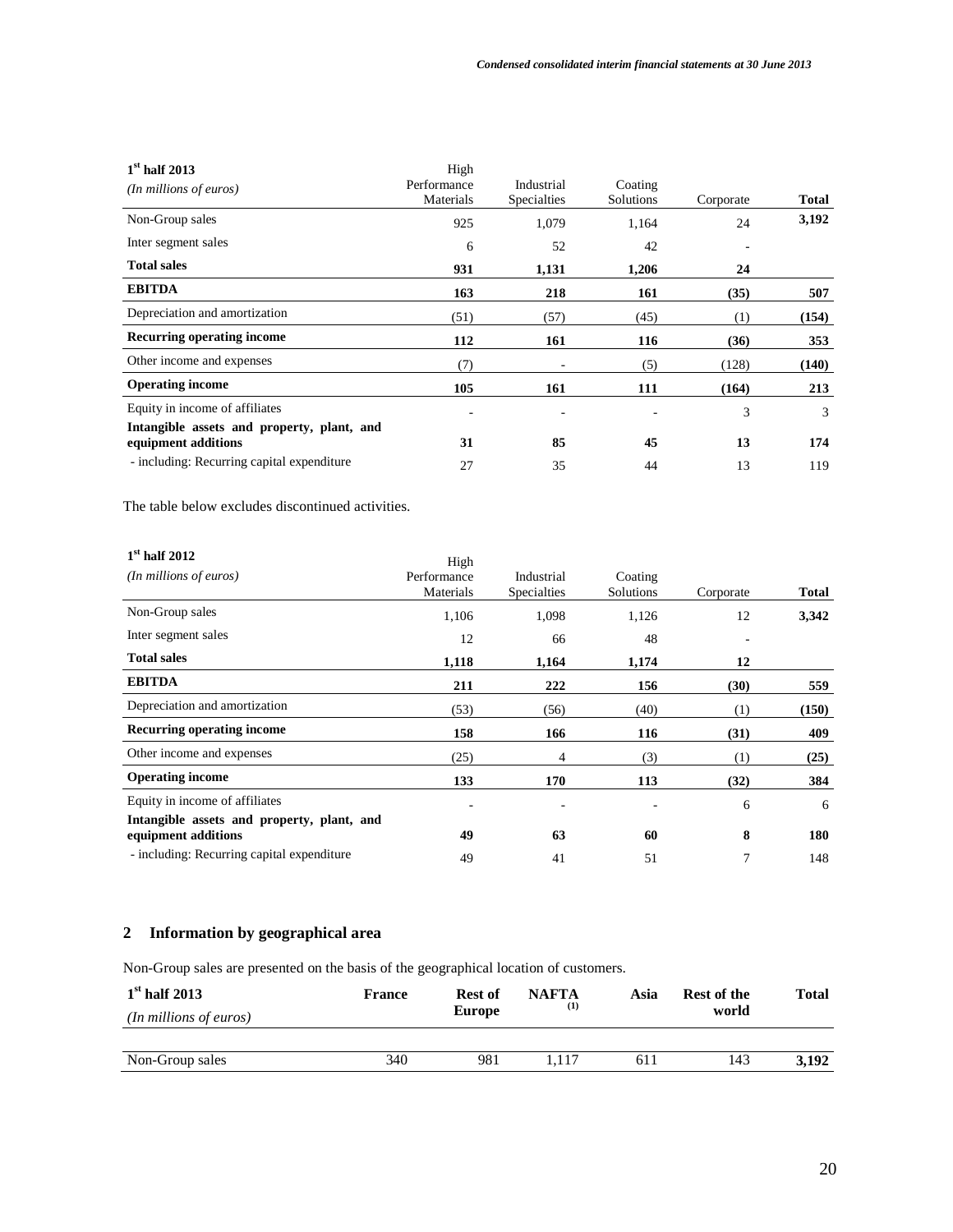| $1st$ half 2013<br>(In millions of euros)                         | High<br>Performance<br>Materials | Industrial<br><b>Specialties</b> | Coating<br><b>Solutions</b> | Corporate | <b>Total</b> |
|-------------------------------------------------------------------|----------------------------------|----------------------------------|-----------------------------|-----------|--------------|
| Non-Group sales                                                   | 925                              | 1,079                            | 1,164                       | 24        | 3,192        |
| Inter segment sales                                               | 6                                | 52                               | 42                          |           |              |
| <b>Total sales</b>                                                | 931                              | 1,131                            | 1,206                       | 24        |              |
| <b>EBITDA</b>                                                     | 163                              | 218                              | 161                         | (35)      | 507          |
| Depreciation and amortization                                     | (51)                             | (57)                             | (45)                        | (1)       | (154)        |
| Recurring operating income                                        | 112                              | 161                              | 116                         | (36)      | 353          |
| Other income and expenses                                         | (7)                              | $\overline{\phantom{a}}$         | (5)                         | (128)     | (140)        |
| <b>Operating income</b>                                           | 105                              | 161                              | 111                         | (164)     | 213          |
| Equity in income of affiliates                                    | ٠                                | ۰                                | ۰                           | 3         | 3            |
| Intangible assets and property, plant, and<br>equipment additions | 31                               | 85                               | 45                          | 13        | 174          |
| - including: Recurring capital expenditure                        | 27                               | 35                               | 44                          | 13        | 119          |

The table below excludes discontinued activities.

| $1st$ half 2012<br>(In millions of euros)                         | High<br>Performance<br>Materials | Industrial<br><b>Specialties</b> | Coating<br><b>Solutions</b> | Corporate | <b>Total</b> |
|-------------------------------------------------------------------|----------------------------------|----------------------------------|-----------------------------|-----------|--------------|
| Non-Group sales                                                   | 1,106                            | 1,098                            | 1,126                       | 12        | 3,342        |
| Inter segment sales                                               | 12                               | 66                               | 48                          | ٠         |              |
| <b>Total sales</b>                                                | 1,118                            | 1,164                            | 1,174                       | 12        |              |
| <b>EBITDA</b>                                                     | 211                              | 222                              | 156                         | (30)      | 559          |
| Depreciation and amortization                                     | (53)                             | (56)                             | (40)                        | (1)       | (150)        |
| Recurring operating income                                        | 158                              | 166                              | 116                         | (31)      | 409          |
| Other income and expenses                                         | (25)                             | 4                                | (3)                         | (1)       | (25)         |
| <b>Operating income</b>                                           | 133                              | 170                              | 113                         | (32)      | 384          |
| Equity in income of affiliates                                    | ۰                                | ٠                                | ٠                           | 6         | 6            |
| Intangible assets and property, plant, and<br>equipment additions | 49                               | 63                               | 60                          | 8         | 180          |
| - including: Recurring capital expenditure                        | 49                               | 41                               | 51                          | 7         | 148          |

# **2 Information by geographical area**

Non-Group sales are presented on the basis of the geographical location of customers.

| $1st$ half 2013        | France | <b>Rest of</b> | <b>NAFTA</b> | Asia | Rest of the | <b>Total</b> |  |
|------------------------|--------|----------------|--------------|------|-------------|--------------|--|
| (In millions of euros) |        | <b>Europe</b>  | (1)          |      | world       |              |  |
|                        |        |                |              |      |             |              |  |
| Non-Group sales        | 340    | 981            | 1.117        | 611  | 143         | 3.192        |  |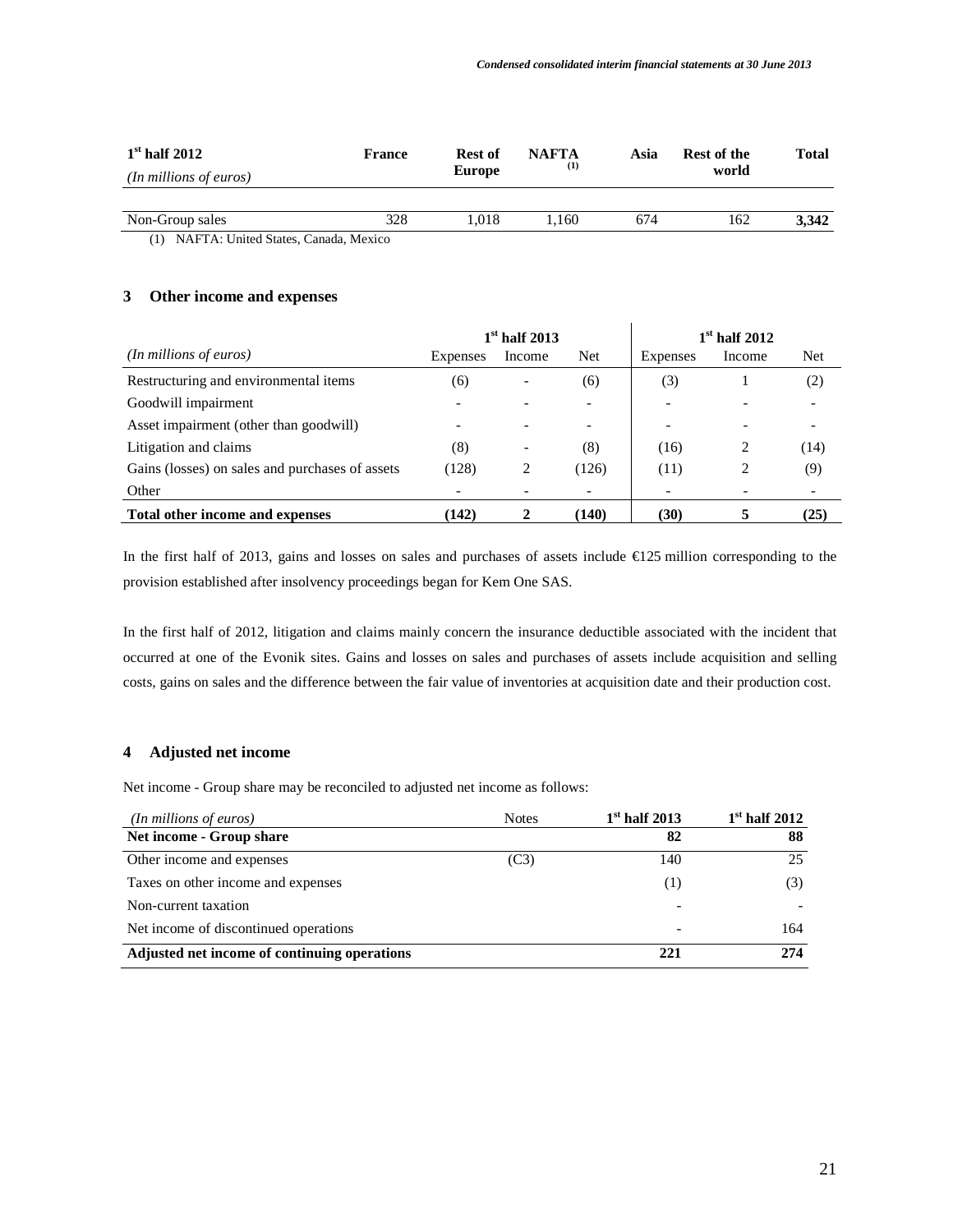| $1st$ half 2012                         | <b>France</b> | Rest of | <b>NAFTA</b> | Asia | <b>Rest of the</b> | Total |  |
|-----------------------------------------|---------------|---------|--------------|------|--------------------|-------|--|
| (In millions of euros)                  | <b>Europe</b> |         | (1)          |      | world              |       |  |
|                                         |               |         |              |      |                    |       |  |
| Non-Group sales                         | 328           | .018    | 1.160        | 674  | 162                | 3.342 |  |
| (1) MAETA, Hoited States, Canada Marias |               |         |              |      |                    |       |  |

(1) NAFTA: United States, Canada, Mexico

## **3 Other income and expenses**

|                                                 | $1st$ half 2013 |                 |                          | $1st$ half 2012 |        |            |
|-------------------------------------------------|-----------------|-----------------|--------------------------|-----------------|--------|------------|
| (In millions of euros)                          | Expenses        | Income          | <b>Net</b>               | Expenses        | Income | <b>Net</b> |
| Restructuring and environmental items           | (6)             |                 | (6)                      | (3)             |        | (2)        |
| Goodwill impairment                             |                 |                 | $\overline{\phantom{a}}$ |                 |        |            |
| Asset impairment (other than goodwill)          |                 |                 | $\overline{\phantom{a}}$ |                 |        |            |
| Litigation and claims                           | (8)             | $\qquad \qquad$ | (8)                      | (16)            | 2      | (14)       |
| Gains (losses) on sales and purchases of assets | (128)           | 2               | (126)                    | (11)            | 2      | (9)        |
| Other                                           |                 |                 |                          |                 |        |            |
| Total other income and expenses                 | (142)           | 2               | (140)                    | (30)            |        | (25)       |

In the first half of 2013, gains and losses on sales and purchases of assets include  $\epsilon$ 125 million corresponding to the provision established after insolvency proceedings began for Kem One SAS.

In the first half of 2012, litigation and claims mainly concern the insurance deductible associated with the incident that occurred at one of the Evonik sites. Gains and losses on sales and purchases of assets include acquisition and selling costs, gains on sales and the difference between the fair value of inventories at acquisition date and their production cost.

## **4 Adjusted net income**

Net income - Group share may be reconciled to adjusted net income as follows:

| (In millions of euros)                       | <b>Notes</b> | $1st$ half 2013 | $1st$ half 2012 |
|----------------------------------------------|--------------|-----------------|-----------------|
| Net income - Group share                     |              | 82              | 88              |
| Other income and expenses                    | (C3)         | 140             | 25              |
| Taxes on other income and expenses           |              | (1)             | (3)             |
| Non-current taxation                         |              |                 |                 |
| Net income of discontinued operations        |              |                 | 164             |
| Adjusted net income of continuing operations |              | 221             | 274             |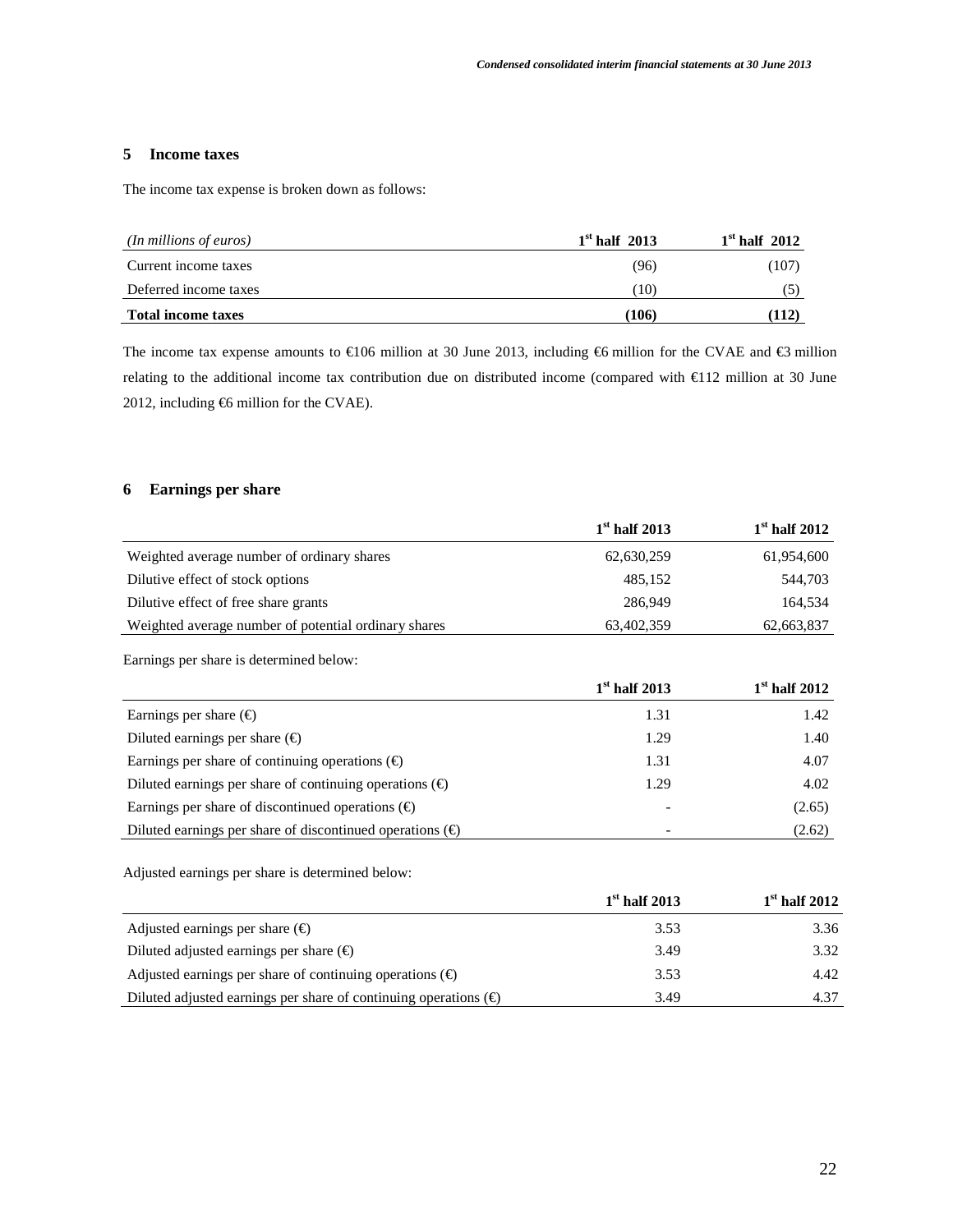# **5 Income taxes**

The income tax expense is broken down as follows:

| (In millions of euros)    | $1st$ half 2013 | $1st$ half 2012 |
|---------------------------|-----------------|-----------------|
| Current income taxes      | (96)            | (107            |
| Deferred income taxes     | (10)            |                 |
| <b>Total income taxes</b> | (106)           | 112             |

The income tax expense amounts to  $\in$ 106 million at 30 June 2013, including  $\in$ 6 million for the CVAE and  $\in$ 3 million relating to the additional income tax contribution due on distributed income (compared with €112 million at 30 June 2012, including €6 million for the CVAE).

# **6 Earnings per share**

|                                                      | $1st$ half 2013 | $1st$ half 2012 |
|------------------------------------------------------|-----------------|-----------------|
| Weighted average number of ordinary shares           | 62,630,259      | 61,954,600      |
| Dilutive effect of stock options                     | 485,152         | 544,703         |
| Dilutive effect of free share grants                 | 286,949         | 164.534         |
| Weighted average number of potential ordinary shares | 63,402,359      | 62,663,837      |

Earnings per share is determined below:

|                                                                    | $1st$ half 2013 | $1st$ half 2012 |
|--------------------------------------------------------------------|-----------------|-----------------|
| Earnings per share $(\epsilon)$                                    | 1.31            | 1.42            |
| Diluted earnings per share $(\epsilon)$                            | 1.29            | 1.40            |
| Earnings per share of continuing operations $(\epsilon)$           | 1.31            | 4.07            |
| Diluted earnings per share of continuing operations $(\epsilon)$   | 1.29            | 4.02            |
| Earnings per share of discontinued operations $(\epsilon)$         |                 | (2.65)          |
| Diluted earnings per share of discontinued operations $(\epsilon)$ |                 | (2.62)          |

Adjusted earnings per share is determined below:

|                                                                           | $1st$ half 2013 | $1st$ half 2012 |
|---------------------------------------------------------------------------|-----------------|-----------------|
| Adjusted earnings per share $(\epsilon)$                                  | 3.53            | 3.36            |
| Diluted adjusted earnings per share $(\epsilon)$                          | 3.49            | 3.32            |
| Adjusted earnings per share of continuing operations $(\epsilon)$         | 3.53            | 4.42            |
| Diluted adjusted earnings per share of continuing operations $(\epsilon)$ | 3.49            | 4.37            |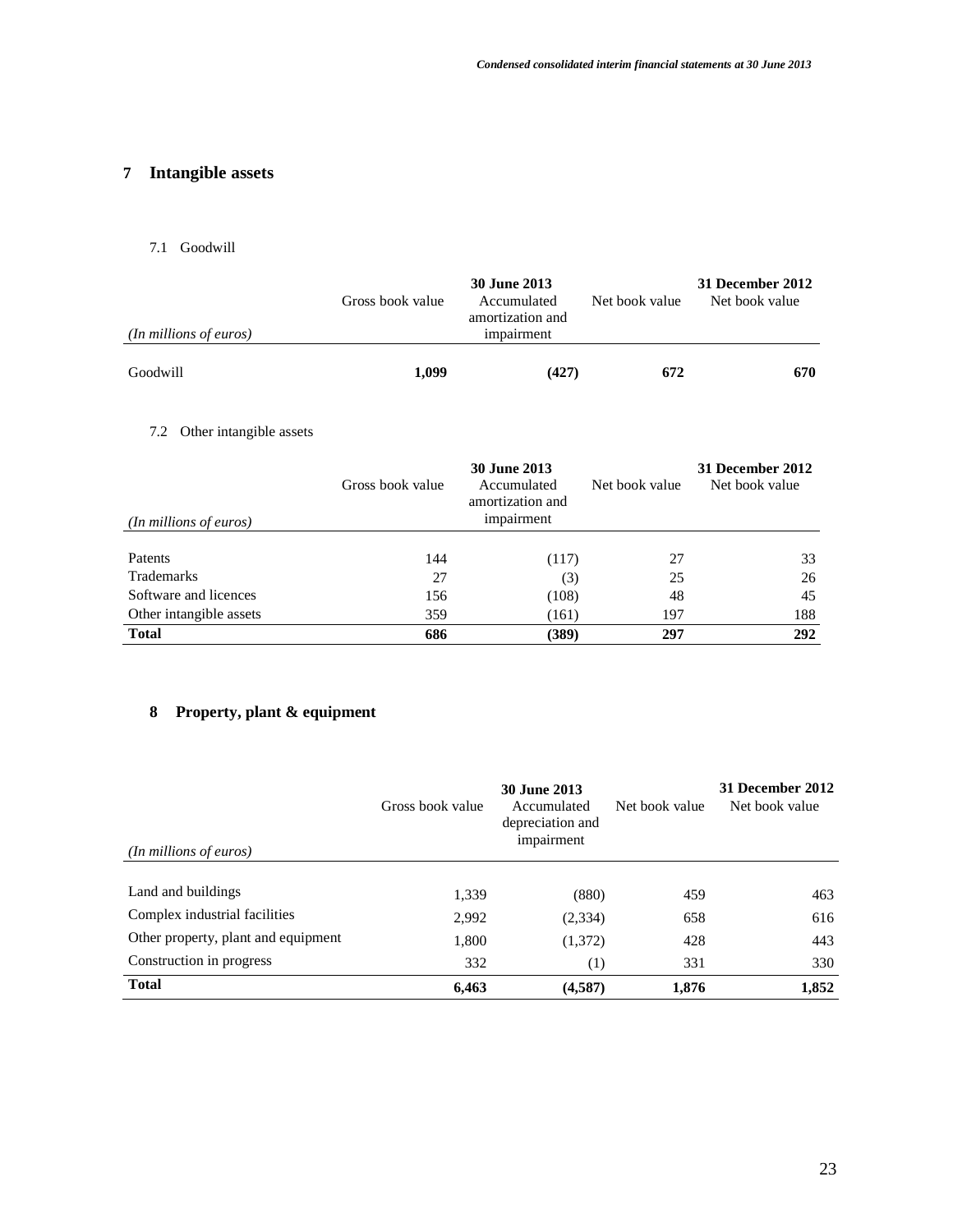# **7 Intangible assets**

### 7.1 Goodwill

| (In millions of euros) | Gross book value | <b>30 June 2013</b><br>Accumulated<br>amortization and<br>impairment | Net book value | 31 December 2012<br>Net book value |
|------------------------|------------------|----------------------------------------------------------------------|----------------|------------------------------------|
| Goodwill               | 1,099            | (427)                                                                | 672            | 670                                |

# 7.2 Other intangible assets

| (In millions of euros)  | Gross book value | <b>30 June 2013</b><br>Accumulated<br>amortization and<br>impairment | Net book value | 31 December 2012<br>Net book value |
|-------------------------|------------------|----------------------------------------------------------------------|----------------|------------------------------------|
|                         |                  |                                                                      |                |                                    |
| Patents                 | 144              | (117)                                                                | 27             | 33                                 |
| Trademarks              | 27               | (3)                                                                  | 25             | 26                                 |
| Software and licences   | 156              | (108)                                                                | 48             | 45                                 |
| Other intangible assets | 359              | (161)                                                                | 197            | 188                                |
| <b>Total</b>            | 686              | (389)                                                                | 297            | 292                                |

# **8 Property, plant & equipment**

| (In millions of euros)              | Gross book value | <b>30 June 2013</b><br>Accumulated<br>depreciation and<br>impairment | Net book value | <b>31 December 2012</b><br>Net book value |
|-------------------------------------|------------------|----------------------------------------------------------------------|----------------|-------------------------------------------|
| Land and buildings                  | 1,339            | (880)                                                                | 459            | 463                                       |
| Complex industrial facilities       | 2,992            | (2, 334)                                                             | 658            | 616                                       |
| Other property, plant and equipment | 1,800            | (1,372)                                                              | 428            | 443                                       |
| Construction in progress            | 332              | (1)                                                                  | 331            | 330                                       |
| <b>Total</b>                        | 6,463            | (4,587)                                                              | 1,876          | 1,852                                     |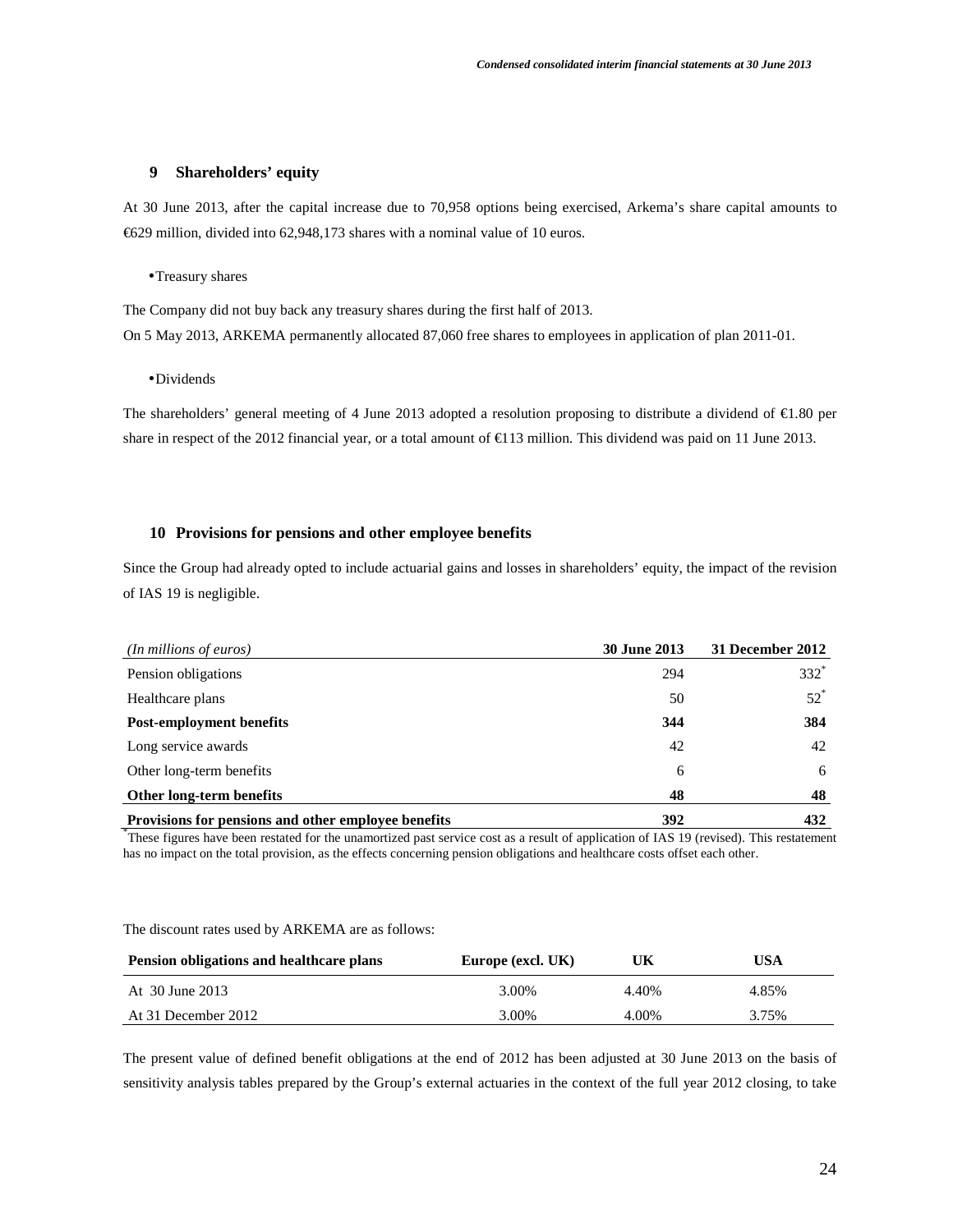# **9 Shareholders' equity**

At 30 June 2013, after the capital increase due to 70,958 options being exercised, Arkema's share capital amounts to €629 million, divided into 62,948,173 shares with anominal value of 10 euros.

#### •Treasury shares

The Company did not buy back any treasury shares during the first half of 2013.

On 5 May 2013, ARKEMA permanently allocated 87,060 free shares to employees in application of plan 2011-01.

### •Dividends

The shareholders' general meeting of 4 June 2013 adopted a resolution proposing to distribute a dividend of €1.80 per share in respect of the 2012 financial year, or a total amount of  $\epsilon$ 113 million. This dividend was paid on 11 June 2013.

#### **10 Provisions for pensions and other employee benefits**

Since the Group had already opted to include actuarial gains and losses in shareholders' equity, the impact of the revision of IAS 19 is negligible.

| (In millions of euros)                              | 30 June 2013 | 31 December 2012 |
|-----------------------------------------------------|--------------|------------------|
| Pension obligations                                 | 294          | $332^*$          |
| Healthcare plans                                    | 50           | $52^*$           |
| <b>Post-employment benefits</b>                     | 344          | 384              |
| Long service awards                                 | 42           | 42               |
| Other long-term benefits                            | 6            | 6                |
| Other long-term benefits                            | 48           | 48               |
| Provisions for pensions and other employee benefits | 392          | 432              |

\* These figures have been restated for the unamortized past service cost as a result of application of IAS 19 (revised). This restatement has no impact on the total provision, as the effects concerning pension obligations and healthcare costs offset each other.

### The discount rates used by ARKEMA are as follows:

| Pension obligations and healthcare plans | Europe (excl. UK) | UK    | USA   |
|------------------------------------------|-------------------|-------|-------|
| At 30 June 2013                          | 3.00%             | 4.40% | 4.85% |
| At 31 December 2012                      | 3.00%             | 4.00% | 3.75% |

The present value of defined benefit obligations at the end of 2012 has been adjusted at 30 June 2013 on the basis of sensitivity analysis tables prepared by the Group's external actuaries in the context of the full year 2012 closing, to take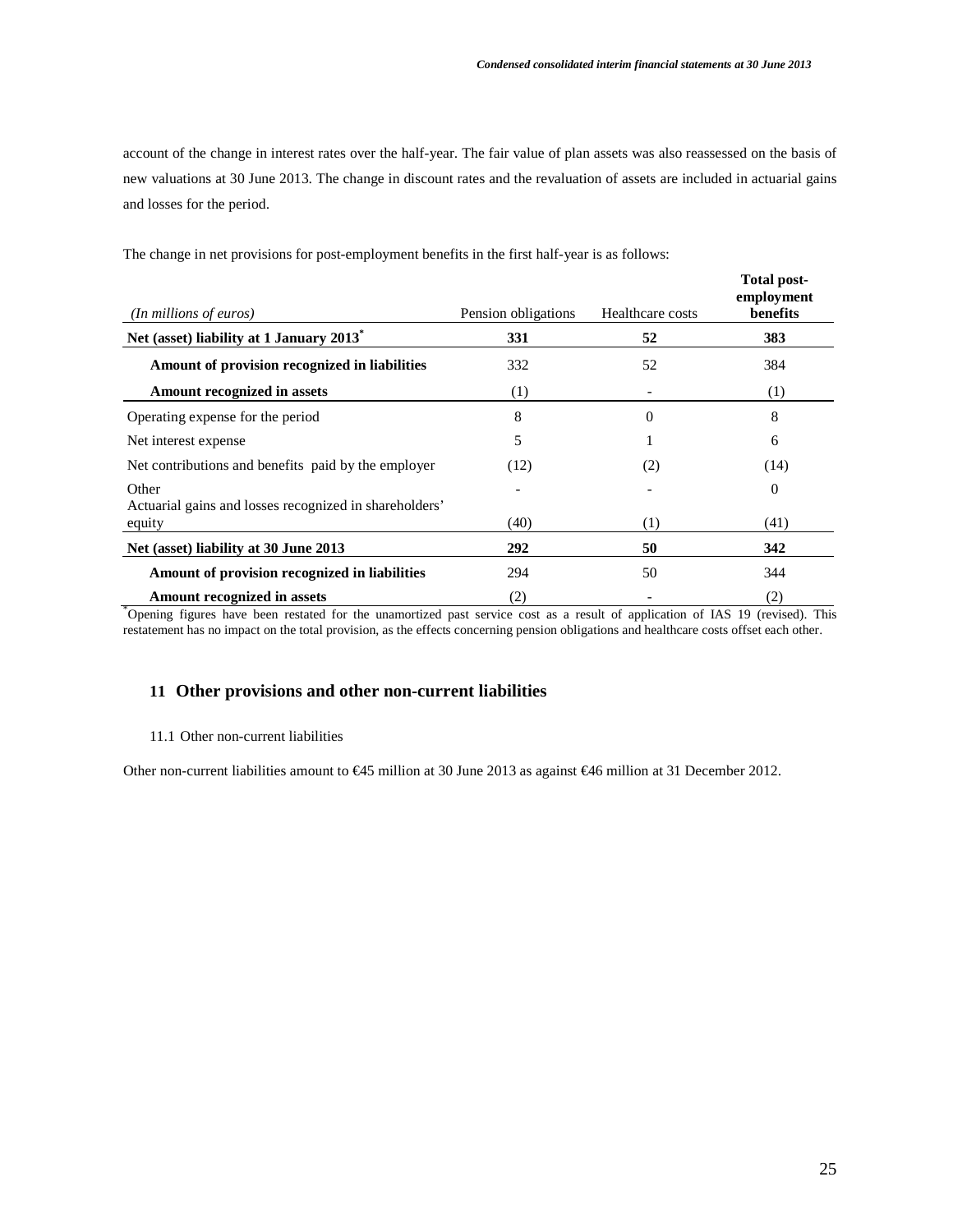account of the change in interest rates over the half-year. The fair value of plan assets was also reassessed on the basis of new valuations at 30 June 2013. The change in discount rates and the revaluation of assets are included in actuarial gains and losses for the period.

| (In millions of euros)                                          | Pension obligations | Healthcare costs | Total post-<br>employment<br>benefits |
|-----------------------------------------------------------------|---------------------|------------------|---------------------------------------|
| Net (asset) liability at 1 January 2013 <sup>*</sup>            | 331                 | 52               | 383                                   |
| Amount of provision recognized in liabilities                   | 332                 | 52               | 384                                   |
| Amount recognized in assets                                     | (1)                 |                  | (1)                                   |
| Operating expense for the period                                | 8                   | $\Omega$         | 8                                     |
| Net interest expense                                            | 5                   |                  | 6                                     |
| Net contributions and benefits paid by the employer             | (12)                | (2)              | (14)                                  |
| Other<br>Actuarial gains and losses recognized in shareholders' |                     |                  | $\theta$                              |
| equity                                                          | (40)                | (1)              | (41)                                  |
| Net (asset) liability at 30 June 2013                           | 292                 | 50               | 342                                   |
| Amount of provision recognized in liabilities                   | 294                 | 50               | 344                                   |
| <b>Amount recognized in assets</b>                              | (2)                 |                  | (2)                                   |

The change in net provisions for post-employment benefits in the first half-year is as follows:

\*Opening figures have been restated for the unamortized past service cost as a result of application of IAS 19 (revised). This restatement has no impact on the total provision, as the effects concerning pension obligations and healthcare costs offset each other.

# **11 Other provisions and other non-current liabilities**

### 11.1 Other non-current liabilities

Other non-current liabilities amount to €45 millionat 30 June 2013 as against €46 million at 31 December 2012.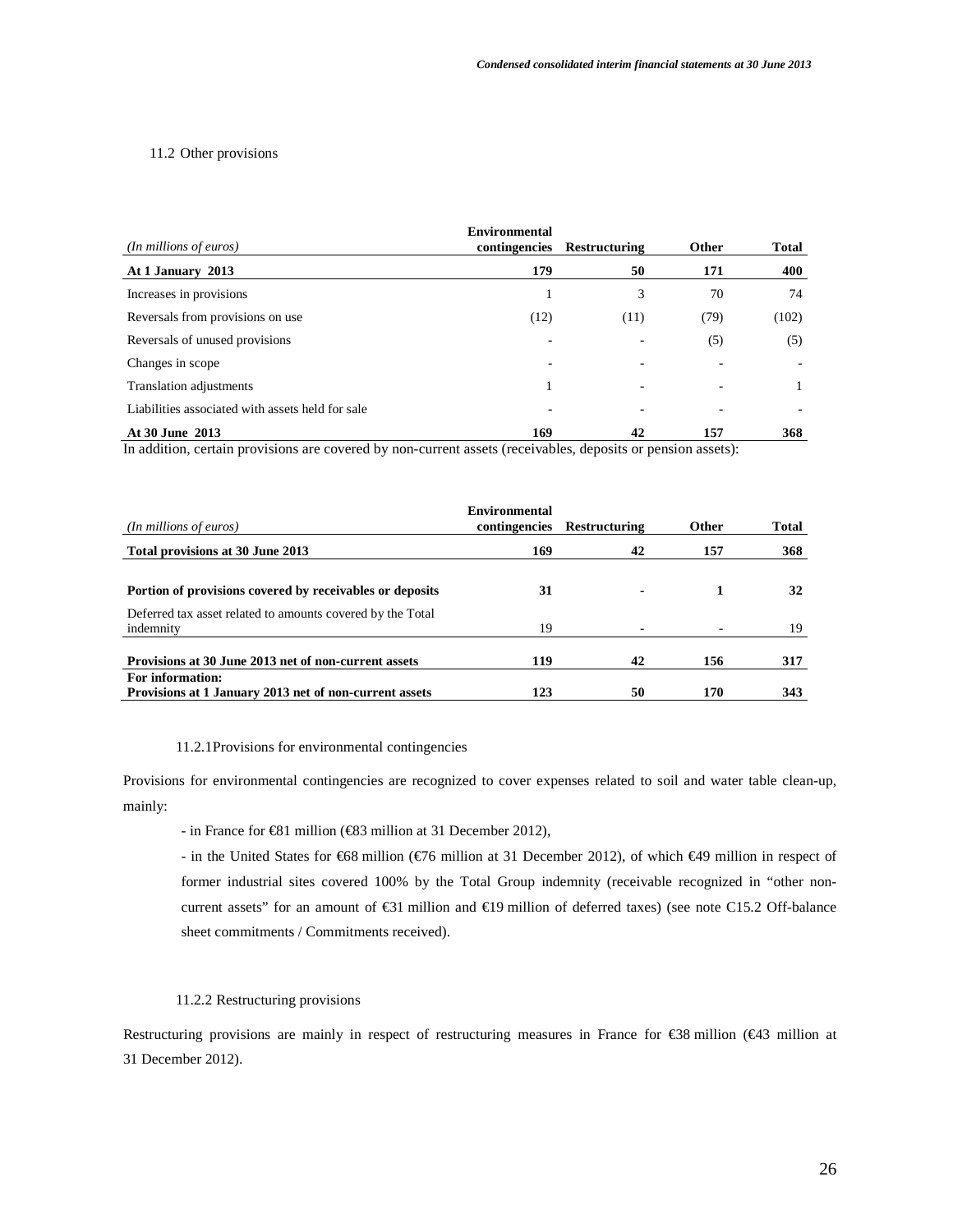## 11.2 Other provisions

| (In millions of euros)                           | <b>Environmental</b><br>contingencies | Restructuring            | Other                    | <b>Total</b> |
|--------------------------------------------------|---------------------------------------|--------------------------|--------------------------|--------------|
| At 1 January 2013                                | 179                                   | 50                       | 171                      | 400          |
| Increases in provisions                          |                                       | 3                        | 70                       | 74           |
| Reversals from provisions on use                 | (12)                                  | (11)                     | (79)                     | (102)        |
| Reversals of unused provisions                   |                                       | ٠                        | (5)                      | (5)          |
| Changes in scope                                 | $\overline{\phantom{a}}$              | $\overline{\phantom{a}}$ |                          |              |
| Translation adjustments                          |                                       |                          | $\overline{\phantom{0}}$ |              |
| Liabilities associated with assets held for sale | $\overline{\phantom{a}}$              | $\overline{\phantom{a}}$ |                          |              |
| At 30 June 2013                                  | 169                                   | 42                       | 157                      | 368          |

In addition, certain provisions are covered by non-current assets (receivables, deposits or pension assets):

| (In millions of euros)                                                  | <b>Environmental</b><br>contingencies | <b>Restructuring</b> | <b>Other</b> | Total |
|-------------------------------------------------------------------------|---------------------------------------|----------------------|--------------|-------|
| Total provisions at 30 June 2013                                        | 169                                   | 42                   | 157          | 368   |
|                                                                         |                                       |                      |              |       |
| Portion of provisions covered by receivables or deposits                | 31                                    | -                    |              | 32    |
| Deferred tax asset related to amounts covered by the Total<br>indemnity | 19                                    |                      |              | 19    |
|                                                                         |                                       |                      |              |       |
| Provisions at 30 June 2013 net of non-current assets                    | 119                                   | 42                   | 156          | 317   |
| For information:                                                        |                                       |                      |              |       |
| Provisions at 1 January 2013 net of non-current assets                  | 123                                   | 50                   | 170          | 343   |

#### 11.2.1Provisions for environmental contingencies

Provisions for environmental contingencies are recognized to cover expenses related to soil and water table clean-up, mainly:

- in France for €81 million (€83 million at 31 December 2012),

- in the United States for €68 million (€76 million at 31 December 2012), of which €49 million in respect of former industrial sites covered 100% by the Total Group indemnity (receivable recognized in "other noncurrent assets" for an amount of  $\epsilon$ 31 million and  $\epsilon$ 9 million of deferred taxes) (see note C15.2 Off-balance sheet commitments / Commitments received).

## 11.2.2 Restructuring provisions

Restructuring provisions are mainly in respect of restructuring measures in France for €38 million (€43 million at 31 December 2012).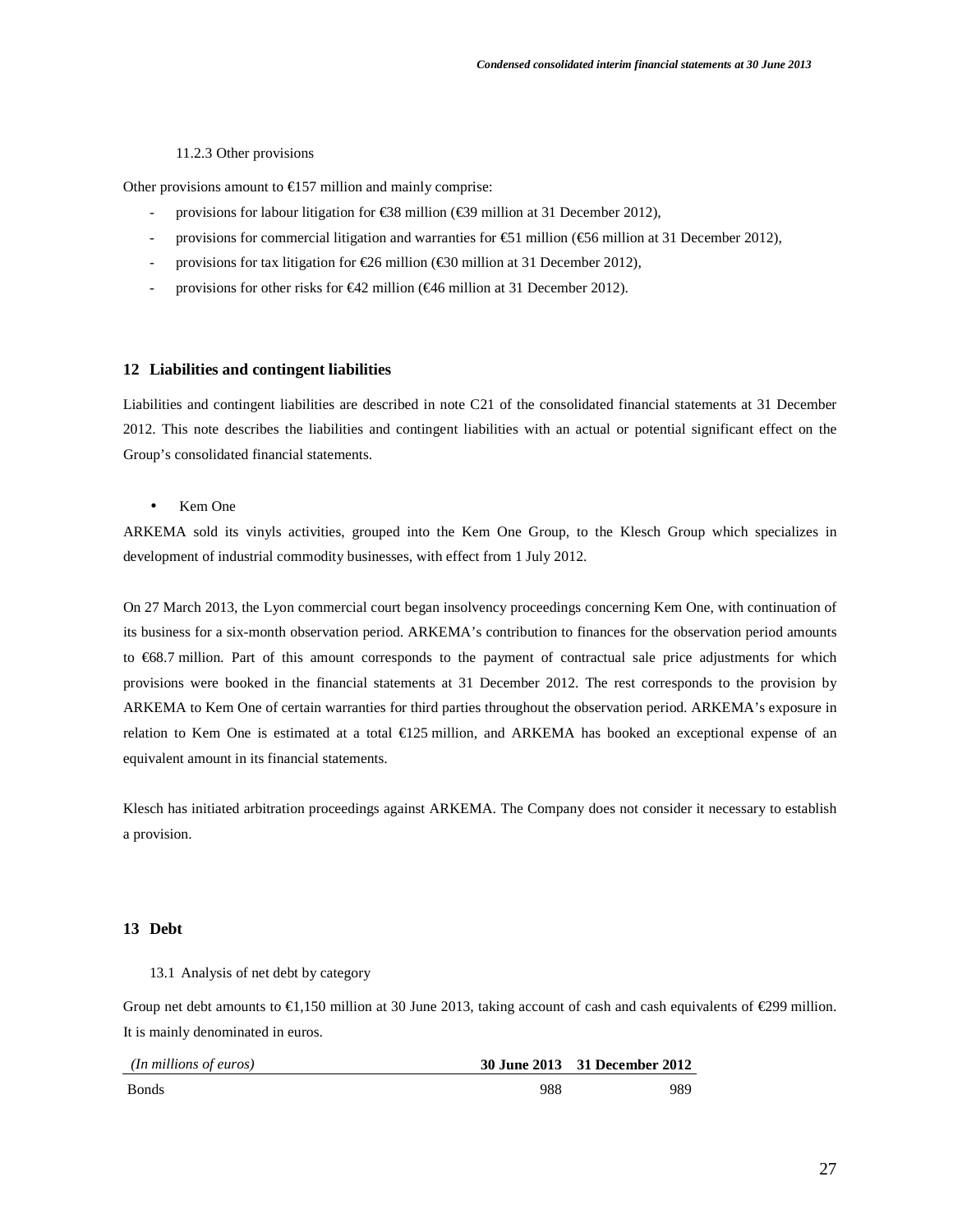### 11.2.3 Other provisions

Other provisions amount to  $E$ 157 million and mainly comprise:

- provisions for labour litigation for  $\epsilon$ 38 million ( $\epsilon$ 9 million at 31 December 2012),
- provisions for commercial litigation and warranties for  $\epsilon$ 51 million ( $\epsilon$ 56 million at 31 December 2012),
- provisions for tax litigation for  $\epsilon$ 26 million ( $\epsilon$ 30 million at 31 December 2012),
- provisions for other risks for  $\epsilon$ 42 million ( $\epsilon$ 46 million at 31 December 2012).

#### **12 Liabilities and contingent liabilities**

Liabilities and contingent liabilities are described in note C21 of the consolidated financial statements at 31 December 2012. This note describes the liabilities and contingent liabilities with an actual or potential significant effect on the Group's consolidated financial statements.

• Kem One

ARKEMA sold its vinyls activities, grouped into the Kem One Group, to the Klesch Group which specializes in development of industrial commodity businesses, with effect from 1 July 2012.

On 27 March 2013, the Lyon commercial court began insolvency proceedings concerning Kem One, with continuation of its business for a six-month observation period. ARKEMA's contribution to finances for the observation period amounts to €68.7 million. Part of this amount corresponds to the payment of contractual sale price adjustments for which provisions were booked in the financial statements at 31 December 2012. The rest corresponds to the provision by ARKEMA to Kem One of certain warranties for third parties throughout the observation period. ARKEMA's exposure in relation to Kem One is estimated at a total €125 million, and ARKEMA has booked an exceptional expense of an equivalent amount in its financial statements.

Klesch has initiated arbitration proceedings against ARKEMA. The Company does not consider it necessary to establish a provision.

### **13 Debt**

### 13.1 Analysis of net debt by category

Group net debt amounts to €1,150 million at 30 June 2013, taking account of cash and cash equivalents of €299 million. It is mainly denominated in euros.

| (In millions of euros) |     | 30 June 2013 31 December 2012 |
|------------------------|-----|-------------------------------|
| <b>B</b> onds          | 988 | 989                           |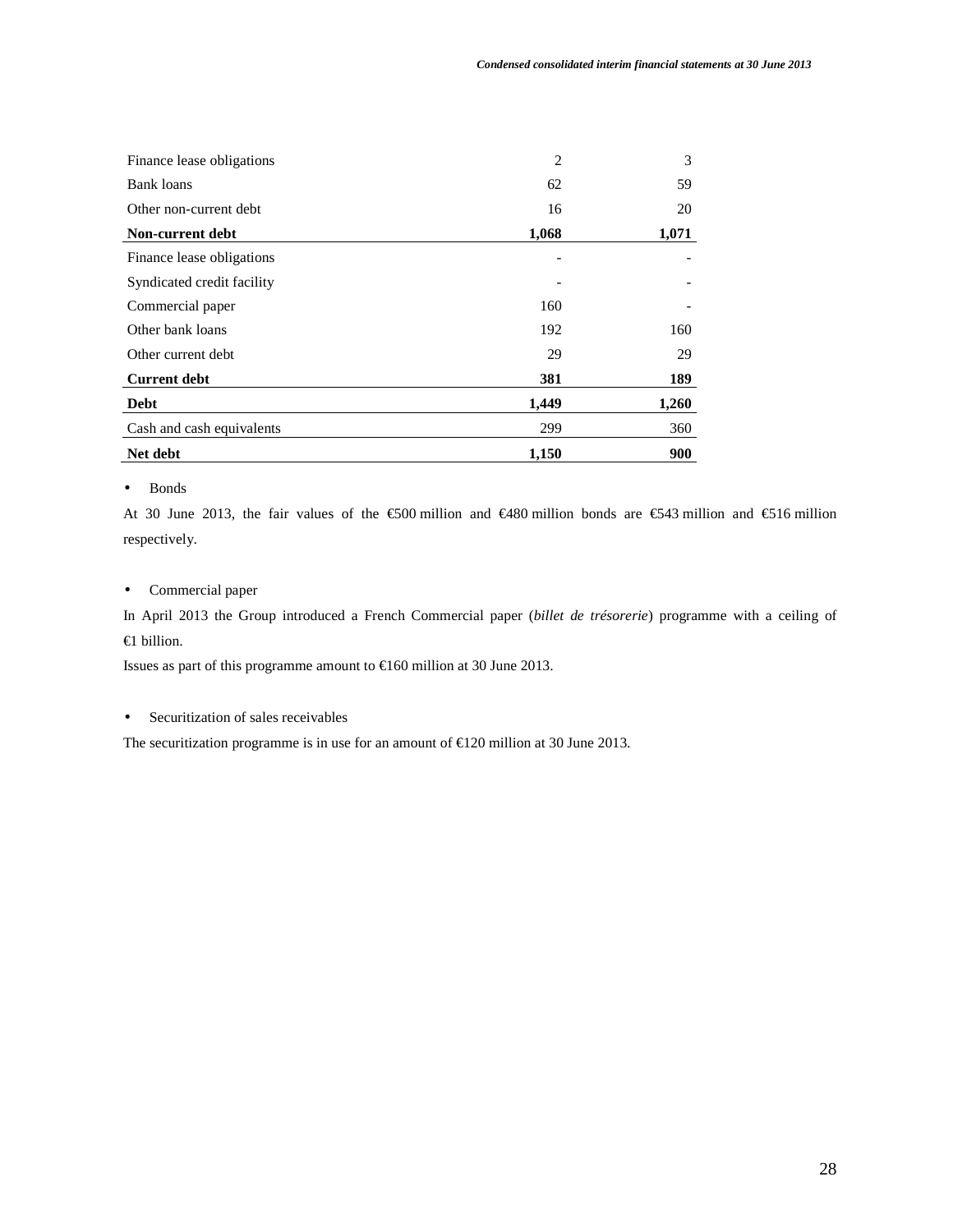| Finance lease obligations  | $\overline{2}$ | 3     |
|----------------------------|----------------|-------|
| <b>Bank</b> loans          | 62             | 59    |
| Other non-current debt     | 16             | 20    |
| Non-current debt           | 1,068          | 1,071 |
| Finance lease obligations  |                |       |
| Syndicated credit facility |                |       |
| Commercial paper           | 160            |       |
| Other bank loans           | 192            | 160   |
| Other current debt         | 29             | 29    |
| <b>Current debt</b>        | 381            | 189   |
| <b>Debt</b>                | 1,449          | 1,260 |
| Cash and cash equivalents  | 299            | 360   |
| Net debt                   | 1,150          | 900   |

# • Bonds

At 30 June 2013, the fair values of the €500 million and €480 million bonds are €543 million and €516 million respectively.

# • Commercial paper

In April 2013 the Group introduced a French Commercial paper (*billet de trésorerie*) programme with a ceiling of €1 billion.

Issues as part of this programme amount to €160 milion at 30 June 2013.

### • Securitization of sales receivables

The securitization programme is in use for an amount of €120 million at 30 June 2013.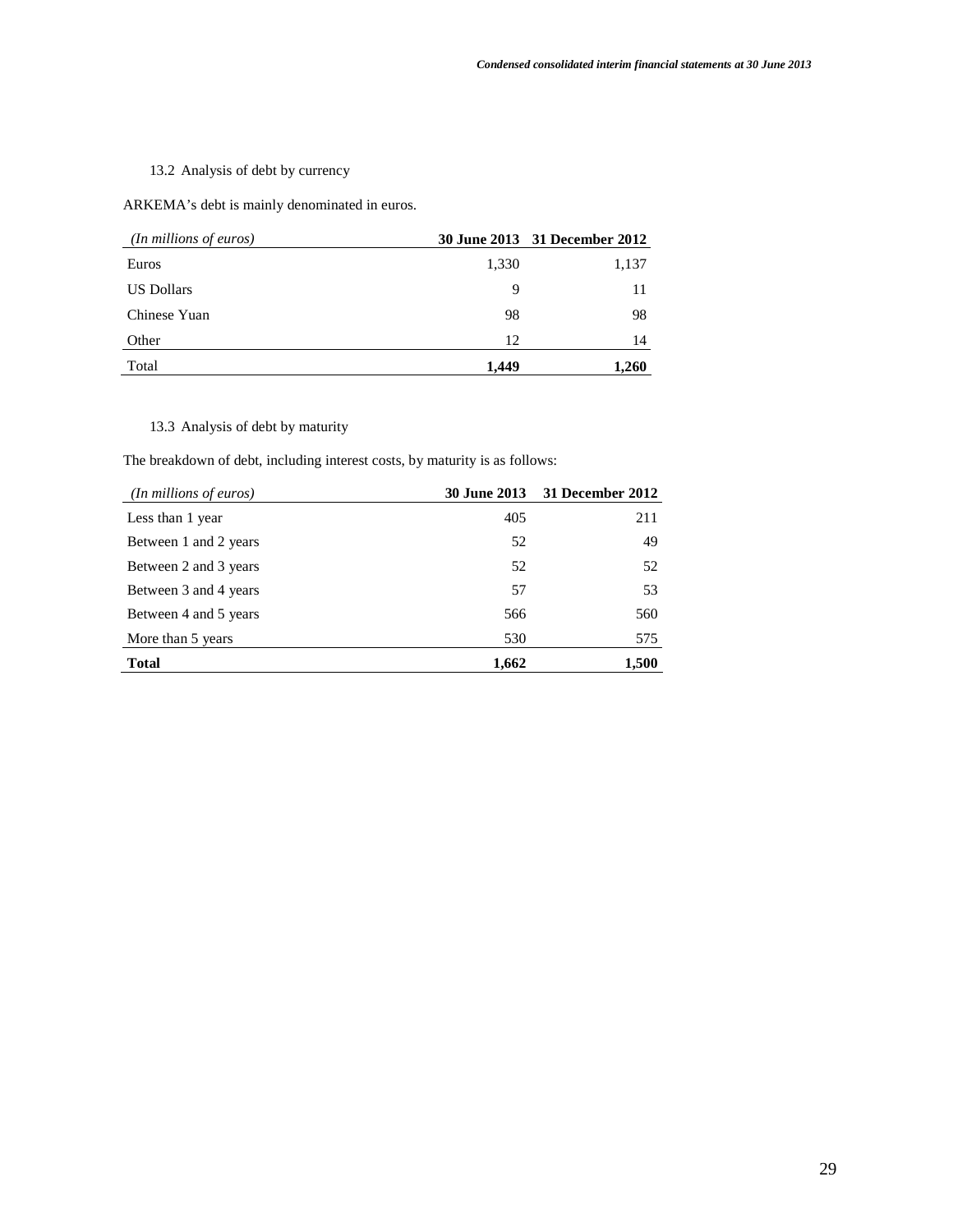# 13.2 Analysis of debt by currency

ARKEMA's debt is mainly denominated in euros.

| (In millions of euros) |       | 30 June 2013 31 December 2012 |
|------------------------|-------|-------------------------------|
| Euros                  | 1,330 | 1,137                         |
| <b>US Dollars</b>      | 9     | 11                            |
| Chinese Yuan           | 98    | 98                            |
| Other                  | 12    | 14                            |
| Total                  | 1.449 | 1,260                         |

# 13.3 Analysis of debt by maturity

The breakdown of debt, including interest costs, by maturity is as follows:

| (In millions of euros) | <b>30 June 2013</b> | 31 December 2012 |
|------------------------|---------------------|------------------|
| Less than 1 year       | 405                 | 211              |
| Between 1 and 2 years  | 52                  | 49               |
| Between 2 and 3 years  | 52                  | 52               |
| Between 3 and 4 years  | 57                  | 53               |
| Between 4 and 5 years  | 566                 | 560              |
| More than 5 years      | 530                 | 575              |
| <b>Total</b>           | 1,662               | 1,500            |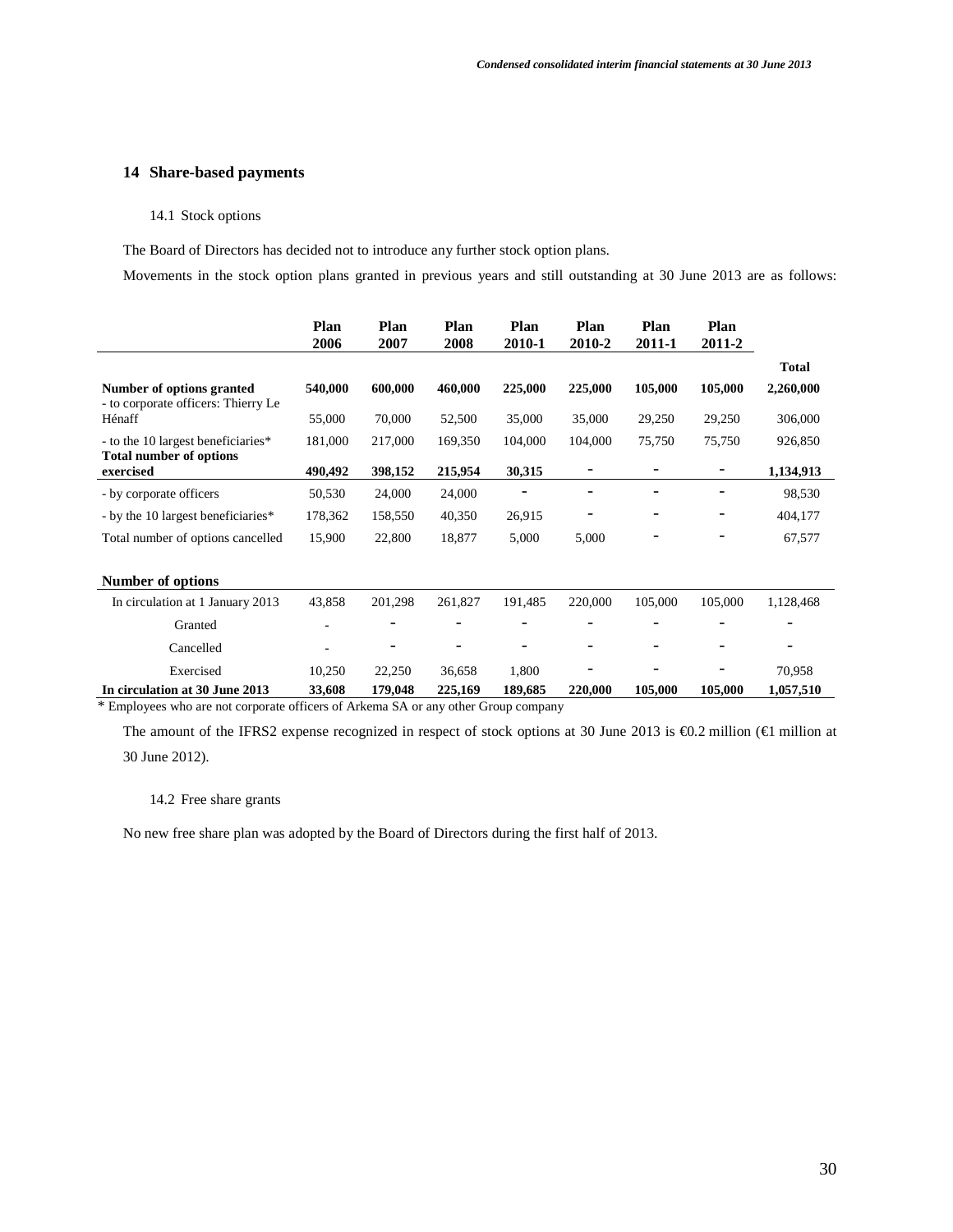### **14 Share-based payments**

### 14.1 Stock options

The Board of Directors has decided not to introduce any further stock option plans.

Movements in the stock option plans granted in previous years and still outstanding at 30 June 2013 are as follows:

|                                                                                                                        | Plan<br>2006 | Plan<br>2007 | Plan<br>2008 | Plan<br>2010-1 | Plan<br>2010-2 | Plan<br>$2011 - 1$ | Plan<br>2011-2 |              |
|------------------------------------------------------------------------------------------------------------------------|--------------|--------------|--------------|----------------|----------------|--------------------|----------------|--------------|
|                                                                                                                        |              |              |              |                |                |                    |                | <b>Total</b> |
| Number of options granted<br>- to corporate officers: Thierry Le                                                       | 540,000      | 600,000      | 460,000      | 225,000        | 225,000        | 105,000            | 105,000        | 2,260,000    |
| Hénaff                                                                                                                 | 55,000       | 70,000       | 52,500       | 35,000         | 35,000         | 29,250             | 29,250         | 306,000      |
| - to the 10 largest beneficiaries*<br><b>Total number of options</b>                                                   | 181,000      | 217,000      | 169,350      | 104,000        | 104,000        | 75,750             | 75,750         | 926,850      |
| exercised                                                                                                              | 490,492      | 398,152      | 215,954      | 30,315         | -              |                    | -              | 1,134,913    |
| - by corporate officers                                                                                                | 50,530       | 24,000       | 24,000       |                |                |                    |                | 98,530       |
| - by the 10 largest beneficiaries*                                                                                     | 178,362      | 158,550      | 40,350       | 26,915         |                |                    | -              | 404,177      |
| Total number of options cancelled                                                                                      | 15,900       | 22,800       | 18,877       | 5,000          | 5,000          |                    |                | 67,577       |
| <b>Number of options</b>                                                                                               |              |              |              |                |                |                    |                |              |
| In circulation at 1 January 2013                                                                                       | 43,858       | 201,298      | 261,827      | 191,485        | 220,000        | 105,000            | 105,000        | 1,128,468    |
| Granted                                                                                                                |              |              |              |                |                |                    |                |              |
| Cancelled                                                                                                              |              |              |              |                |                |                    |                |              |
| Exercised                                                                                                              | 10,250       | 22,250       | 36,658       | 1,800          |                |                    |                | 70,958       |
| In circulation at 30 June 2013<br>* Employee who are not computer officers of Arleans CA an exception Crosse companies | 33,608       | 179,048      | 225,169      | 189,685        | 220,000        | 105,000            | 105,000        | 1,057,510    |

Employees who are not corporate officers of Arkema SA or any other Group company

The amount of the IFRS2 expense recognized in respect of stock options at 30 June 2013 is €0.2 million (€1 million at 30 June 2012).

14.2 Free share grants

No new free share plan was adopted by the Board of Directors during the first half of 2013.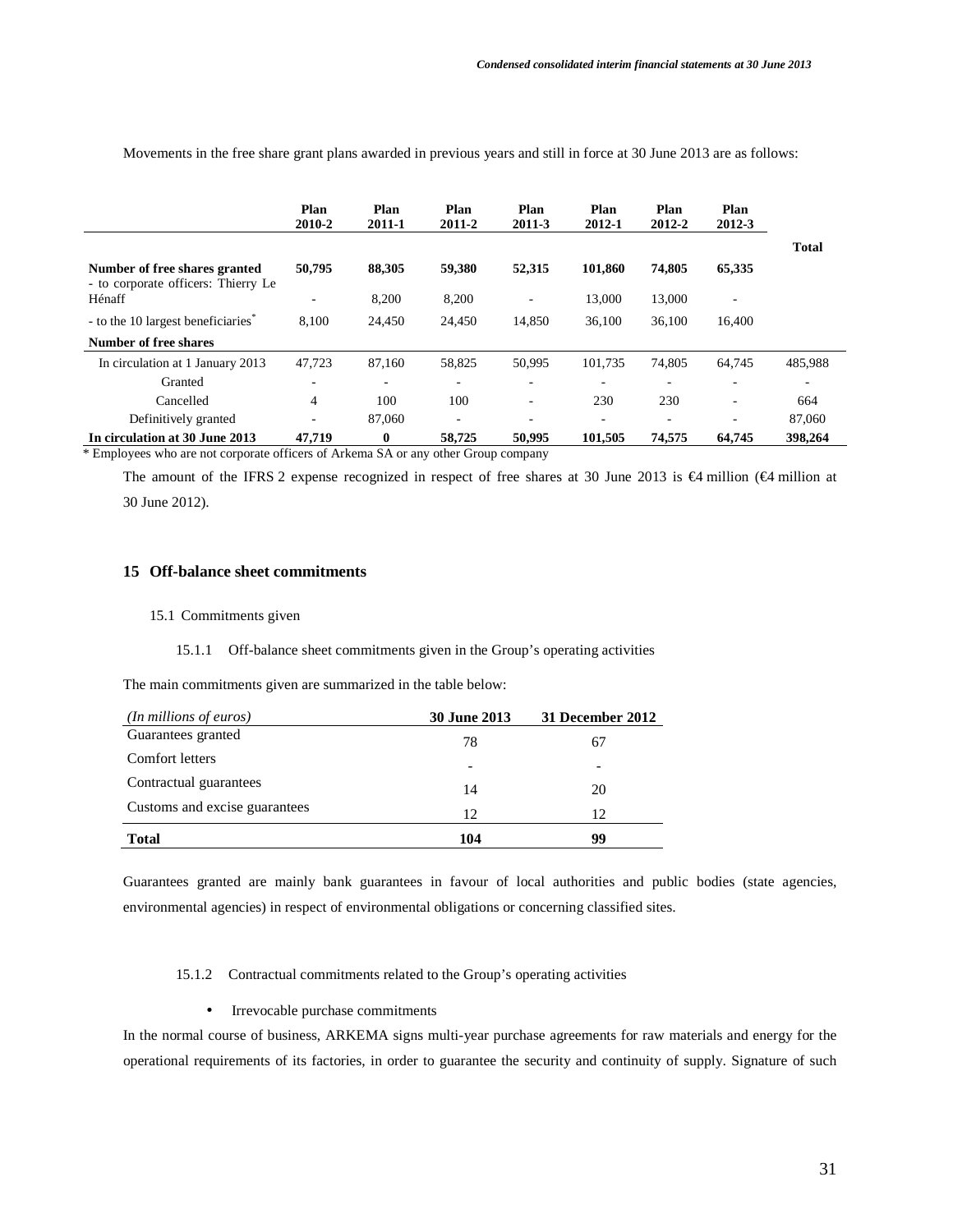|                                                                      | Plan<br>2010-2 | Plan<br>2011-1 | Plan<br>2011-2 | Plan<br>2011-3 | Plan<br>2012-1 | Plan<br>2012-2 | Plan<br>2012-3           |              |
|----------------------------------------------------------------------|----------------|----------------|----------------|----------------|----------------|----------------|--------------------------|--------------|
|                                                                      |                |                |                |                |                |                |                          | <b>Total</b> |
| Number of free shares granted<br>- to corporate officers: Thierry Le | 50,795         | 88,305         | 59,380         | 52,315         | 101,860        | 74,805         | 65,335                   |              |
| Hénaff                                                               | ٠              | 8,200          | 8,200          |                | 13,000         | 13,000         |                          |              |
| - to the 10 largest beneficiaries <sup>7</sup>                       | 8.100          | 24,450         | 24,450         | 14.850         | 36,100         | 36,100         | 16,400                   |              |
| Number of free shares                                                |                |                |                |                |                |                |                          |              |
| In circulation at 1 January 2013                                     | 47.723         | 87.160         | 58,825         | 50.995         | 101.735        | 74,805         | 64.745                   | 485.988      |
| Granted                                                              | ۰              | ٠              |                |                | -              | ۰              | ٠                        |              |
| Cancelled                                                            | 4              | 100            | 100            | ۰              | 230            | 230            | $\overline{\phantom{0}}$ | 664          |
| Definitively granted                                                 | -              | 87,060         | ۰              | ٠              | ٠              | ۰              | ٠                        | 87,060       |
| In circulation at 30 June 2013                                       | 47,719         | $\bf{0}$       | 58,725         | 50,995         | 101.505        | 74.575         | 64,745                   | 398,264      |

Movements in the free share grant plans awarded in previous years and still in force at 30 June 2013 are as follows:

\* Employees who are not corporate officers of Arkema SA or any other Group company

The amount of the IFRS 2 expense recognized in respect of free shares at 30 June 2013 is  $\epsilon$ 4 million ( $\epsilon$ 4 million at 30 June 2012).

## **15 Off-balance sheet commitments**

15.1 Commitments given

## 15.1.1 Off-balance sheet commitments given in the Group's operating activities

The main commitments given are summarized in the table below:

| (In millions of euros)        | <b>30 June 2013</b>      | 31 December 2012         |
|-------------------------------|--------------------------|--------------------------|
| Guarantees granted            | 78                       | 67                       |
| Comfort letters               | $\overline{\phantom{0}}$ | $\overline{\phantom{0}}$ |
| Contractual guarantees        | 14                       | 20                       |
| Customs and excise guarantees | 12                       | 12                       |
| <b>Total</b>                  | 104                      | 99                       |

Guarantees granted are mainly bank guarantees in favour of local authorities and public bodies (state agencies, environmental agencies) in respect of environmental obligations or concerning classified sites.

15.1.2 Contractual commitments related to the Group's operating activities

• Irrevocable purchase commitments

In the normal course of business, ARKEMA signs multi-year purchase agreements for raw materials and energy for the operational requirements of its factories, in order to guarantee the security and continuity of supply. Signature of such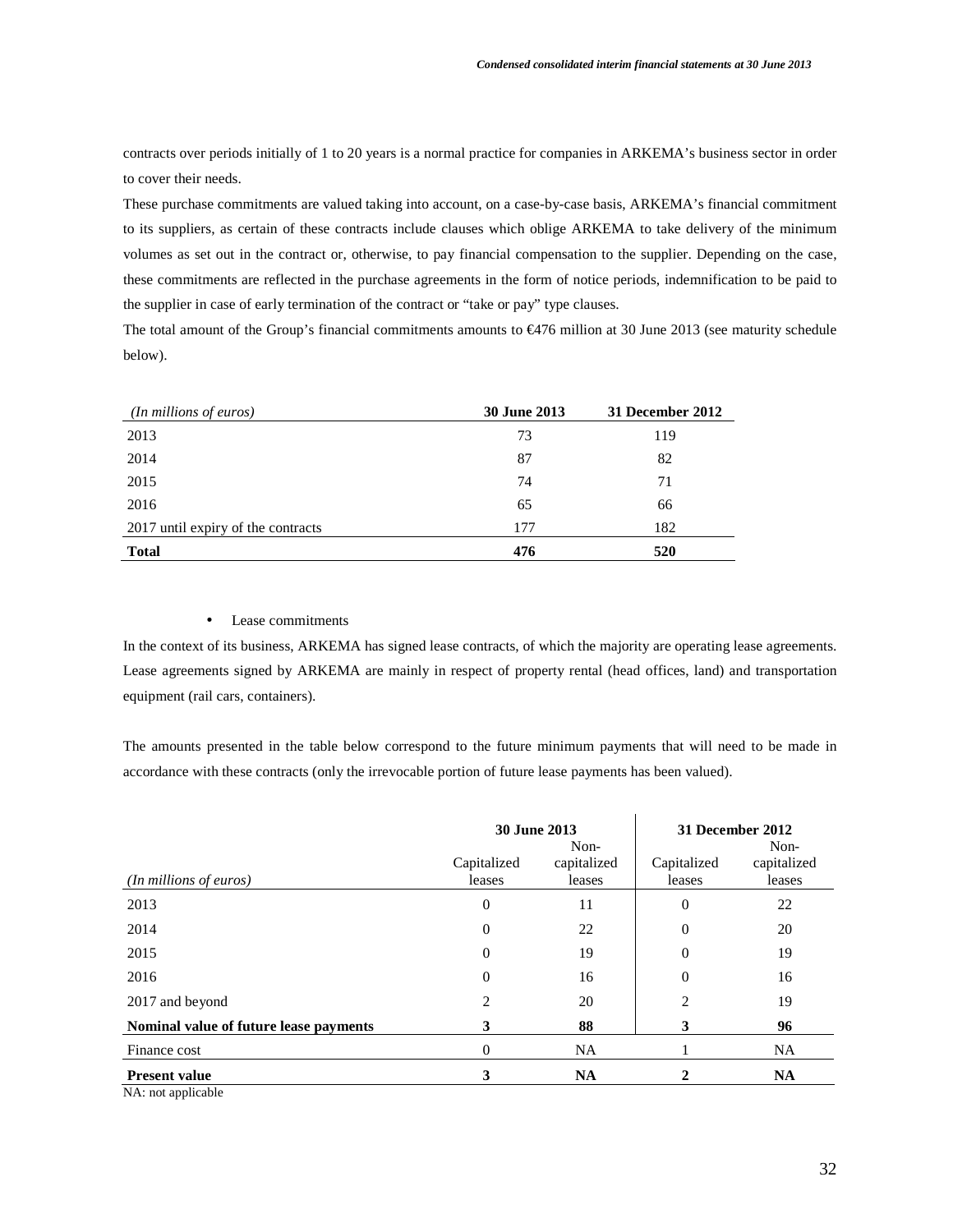contracts over periods initially of 1 to 20 years is a normal practice for companies in ARKEMA's business sector in order to cover their needs.

These purchase commitments are valued taking into account, on a case-by-case basis, ARKEMA's financial commitment to its suppliers, as certain of these contracts include clauses which oblige ARKEMA to take delivery of the minimum volumes as set out in the contract or, otherwise, to pay financial compensation to the supplier. Depending on the case, these commitments are reflected in the purchase agreements in the form of notice periods, indemnification to be paid to the supplier in case of early termination of the contract or "take or pay" type clauses.

The total amount of the Group's financial commitments amounts to €476 million at 30 June 2013 (see maturity schedule below).

| (In millions of euros)             | <b>30 June 2013</b> | 31 December 2012 |
|------------------------------------|---------------------|------------------|
| 2013                               | 73                  | 119              |
| 2014                               | 87                  | 82               |
| 2015                               | 74                  | 71               |
| 2016                               | 65                  | 66               |
| 2017 until expiry of the contracts | 177                 | 182              |
| <b>Total</b>                       | 476                 | 520              |

### • Lease commitments

In the context of its business, ARKEMA has signed lease contracts, of which the majority are operating lease agreements. Lease agreements signed by ARKEMA are mainly in respect of property rental (head offices, land) and transportation equipment (rail cars, containers).

The amounts presented in the table below correspond to the future minimum payments that will need to be made in accordance with these contracts (only the irrevocable portion of future lease payments has been valued).

|                                            | 30 June 2013<br>Non-  |                       | 31 December 2012      | Non-                  |
|--------------------------------------------|-----------------------|-----------------------|-----------------------|-----------------------|
| (In millions of euros)                     | Capitalized<br>leases | capitalized<br>leases | Capitalized<br>leases | capitalized<br>leases |
| 2013                                       | 0                     | 11                    | $\theta$              | 22                    |
| 2014                                       | 0                     | 22                    | $\theta$              | 20                    |
| 2015                                       | $\overline{0}$        | 19                    | $\theta$              | 19                    |
| 2016                                       | $\overline{0}$        | 16                    | $\Omega$              | 16                    |
| 2017 and beyond                            | 2                     | 20                    | 2                     | 19                    |
| Nominal value of future lease payments     | 3                     | 88                    | 3                     | 96                    |
| Finance cost                               | 0                     | <b>NA</b>             |                       | <b>NA</b>             |
| <b>Present value</b><br>NA: not applicable | 3                     | <b>NA</b>             |                       | <b>NA</b>             |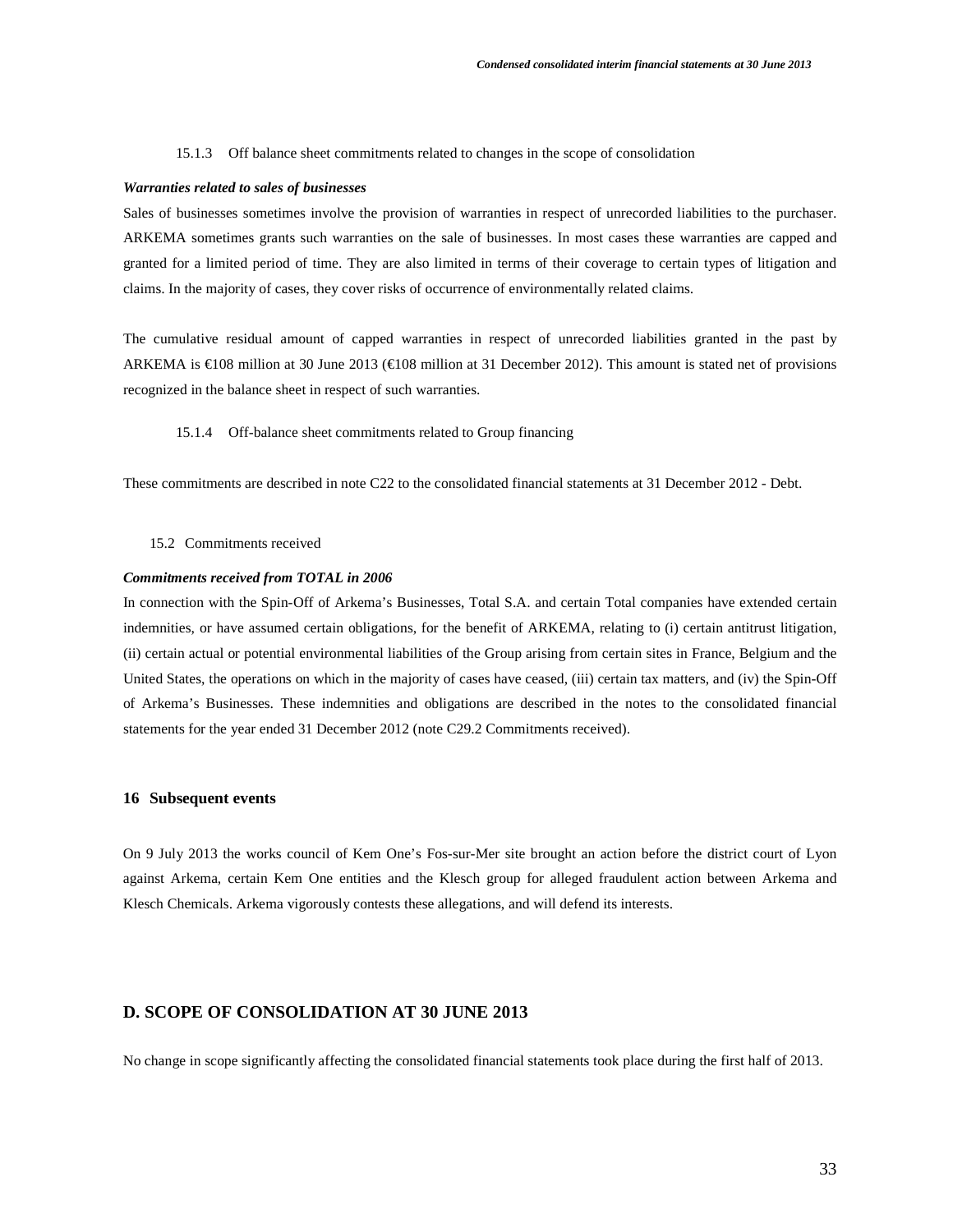15.1.3 Off balance sheet commitments related to changes in the scope of consolidation

#### *Warranties related to sales of businesses*

Sales of businesses sometimes involve the provision of warranties in respect of unrecorded liabilities to the purchaser. ARKEMA sometimes grants such warranties on the sale of businesses. In most cases these warranties are capped and granted for a limited period of time. They are also limited in terms of their coverage to certain types of litigation and claims. In the majority of cases, they cover risks of occurrence of environmentally related claims.

The cumulative residual amount of capped warranties in respect of unrecorded liabilities granted in the past by ARKEMA is €108 million at 30 June 2013 (€108 million at 31 December 2012). This amount is stated net of provisions recognized in the balance sheet in respect of such warranties.

#### 15.1.4 Off-balance sheet commitments related to Group financing

These commitments are described in note C22 to the consolidated financial statements at 31 December 2012 - Debt.

### 15.2 Commitments received

#### *Commitments received from TOTAL in 2006*

In connection with the Spin-Off of Arkema's Businesses, Total S.A. and certain Total companies have extended certain indemnities, or have assumed certain obligations, for the benefit of ARKEMA, relating to (i) certain antitrust litigation, (ii) certain actual or potential environmental liabilities of the Group arising from certain sites in France, Belgium and the United States, the operations on which in the majority of cases have ceased, (iii) certain tax matters, and (iv) the Spin-Off of Arkema's Businesses. These indemnities and obligations are described in the notes to the consolidated financial statements for the year ended 31 December 2012 (note C29.2 Commitments received).

#### **16 Subsequent events**

On 9 July 2013 the works council of Kem One's Fos-sur-Mer site brought an action before the district court of Lyon against Arkema, certain Kem One entities and the Klesch group for alleged fraudulent action between Arkema and Klesch Chemicals. Arkema vigorously contests these allegations, and will defend its interests.

# **D. SCOPE OF CONSOLIDATION AT 30 JUNE 2013**

No change in scope significantly affecting the consolidated financial statements took place during the first half of 2013.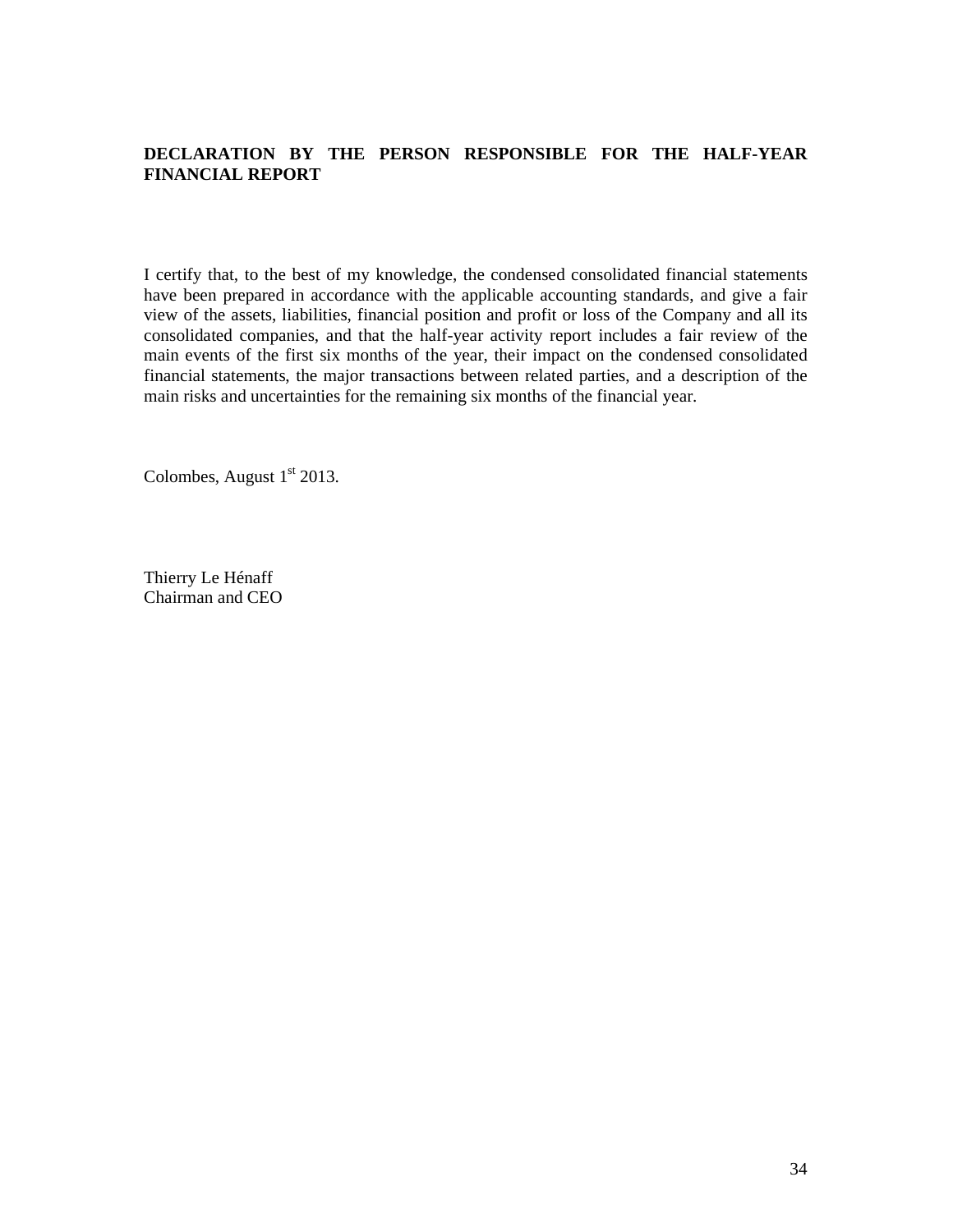# **DECLARATION BY THE PERSON RESPONSIBLE FOR THE HALF-YEAR FINANCIAL REPORT**

I certify that, to the best of my knowledge, the condensed consolidated financial statements have been prepared in accordance with the applicable accounting standards, and give a fair view of the assets, liabilities, financial position and profit or loss of the Company and all its consolidated companies, and that the half-year activity report includes a fair review of the main events of the first six months of the year, their impact on the condensed consolidated financial statements, the major transactions between related parties, and a description of the main risks and uncertainties for the remaining six months of the financial year.

Colombes, August  $1<sup>st</sup> 2013$ .

Thierry Le Hénaff Chairman and CEO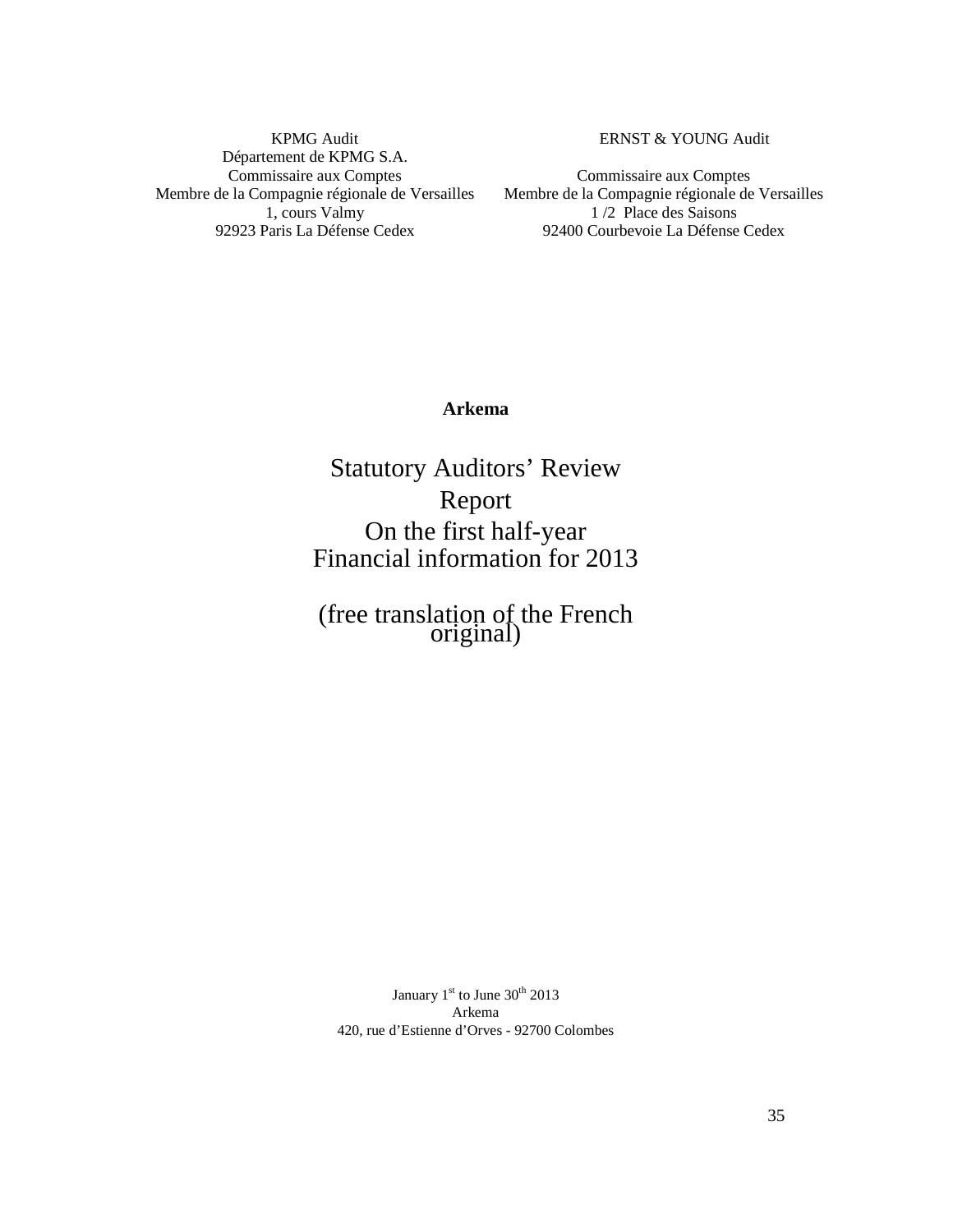KPMG Audit Département de KPMG S.A. Commissaire aux Comptes Membre de la Compagnie régionale de Versailles 1, cours Valmy 92923 Paris La Défense Cedex

ERNST & YOUNG Audit

Commissaire aux Comptes Membre de la Compagnie régionale de Versailles 1 /2 Place des Saisons 92400 Courbevoie La Défense Cedex

# **Arkema**

Statutory Auditors' Review Report On the first half-year Financial information for 2013

(free translation of the French original)

January 1st to June 30<sup>th</sup> 2013 Arkema 420, rue d'Estienne d'Orves - 92700 Colombes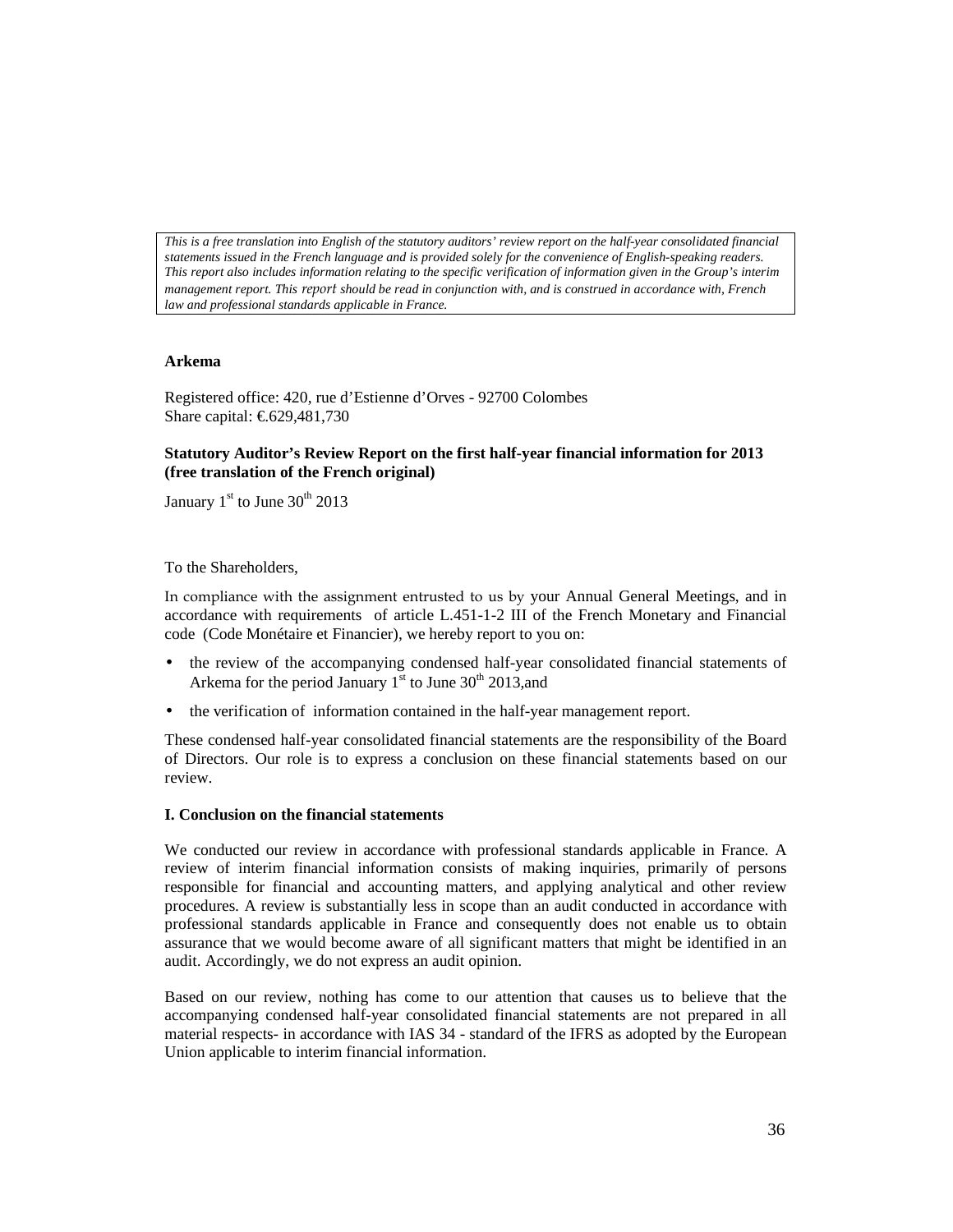*This is a free translation into English of the statutory auditors' review report on the half-year consolidated financial statements issued in the French language and is provided solely for the convenience of English-speaking readers. This report also includes information relating to the specific verification of information given in the Group's interim management report. This report should be read in conjunction with, and is construed in accordance with, French law and professional standards applicable in France.* 

### **Arkema**

Registered office: 420, rue d'Estienne d'Orves - 92700 Colombes Share capital: €.629,481,730

# **Statutory Auditor's Review Report on the first half-year financial information for 2013 (free translation of the French original)**

January  $1<sup>st</sup>$  to June  $30<sup>th</sup>$  2013

### To the Shareholders,

In compliance with the assignment entrusted to us by your Annual General Meetings, and in accordance with requirements of article L.451-1-2 III of the French Monetary and Financial code (Code Monétaire et Financier), we hereby report to you on:

- the review of the accompanying condensed half-year consolidated financial statements of Arkema for the period January  $1<sup>st</sup>$  to June 30<sup>th</sup> 2013, and
- the verification of information contained in the half-year management report.

These condensed half-year consolidated financial statements are the responsibility of the Board of Directors. Our role is to express a conclusion on these financial statements based on our review.

### **I. Conclusion on the financial statements**

We conducted our review in accordance with professional standards applicable in France. A review of interim financial information consists of making inquiries, primarily of persons responsible for financial and accounting matters, and applying analytical and other review procedures. A review is substantially less in scope than an audit conducted in accordance with professional standards applicable in France and consequently does not enable us to obtain assurance that we would become aware of all significant matters that might be identified in an audit. Accordingly, we do not express an audit opinion.

Based on our review, nothing has come to our attention that causes us to believe that the accompanying condensed half-year consolidated financial statements are not prepared in all material respects- in accordance with IAS 34 - standard of the IFRS as adopted by the European Union applicable to interim financial information.